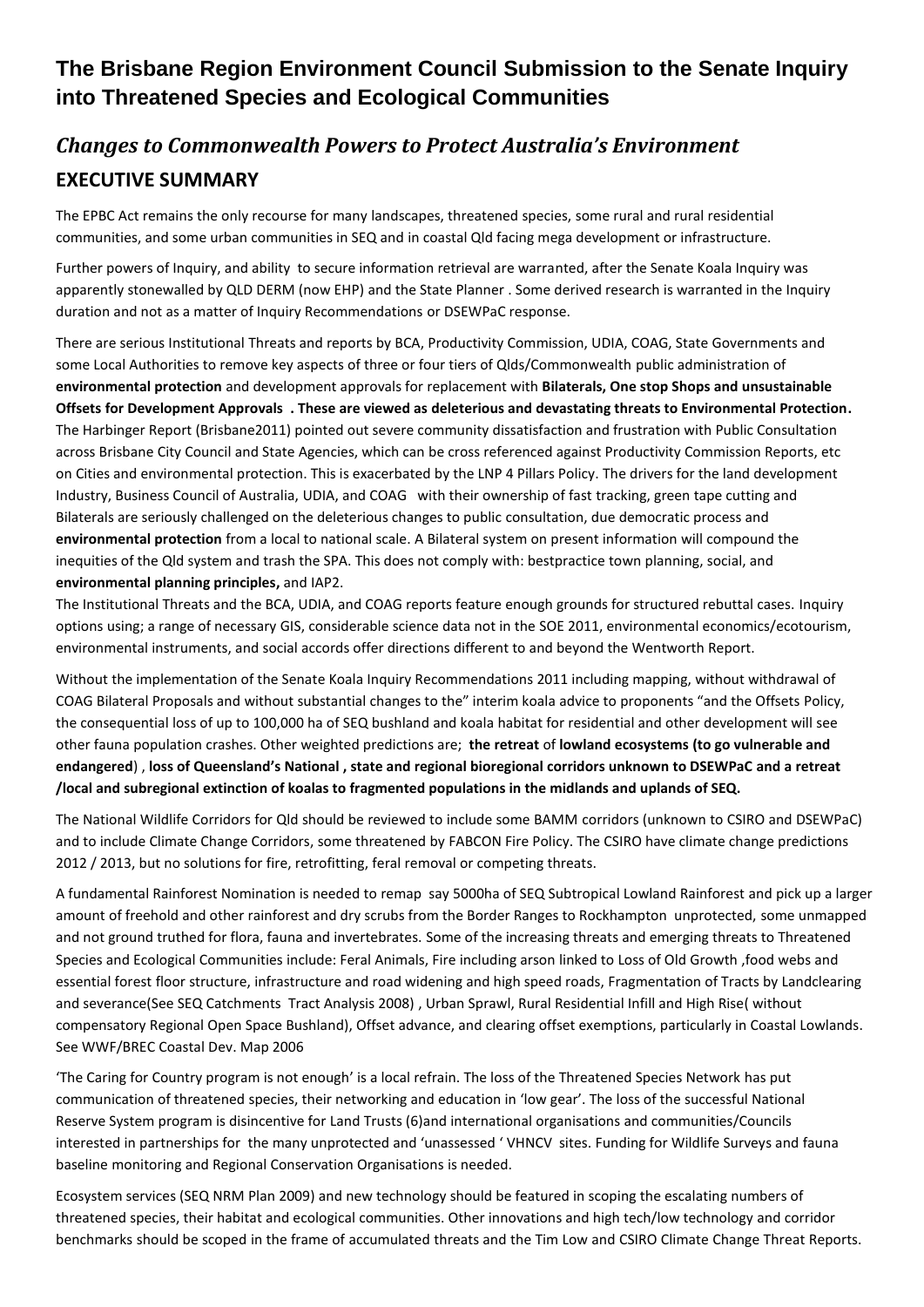# **The Brisbane Region Environment Council Submission to the Senate Inquiry into Threatened Species and Ecological Communities**

# *Changes to Commonwealth Powers to Protect Australia's Environment* **EXECUTIVE SUMMARY**

The EPBC Act remains the only recourse for many landscapes, threatened species, some rural and rural residential communities, and some urban communities in SEQ and in coastal Qld facing mega development or infrastructure.

Further powers of Inquiry, and ability to secure information retrieval are warranted, after the Senate Koala Inquiry was apparently stonewalled by QLD DERM (now EHP) and the State Planner . Some derived research is warranted in the Inquiry duration and not as a matter of Inquiry Recommendations or DSEWPaC response.

There are serious Institutional Threats and reports by BCA, Productivity Commission, UDIA, COAG, State Governments and some Local Authorities to remove key aspects of three or four tiers of Qlds/Commonwealth public administration of **environmental protection** and development approvals for replacement with **Bilaterals, One stop Shops and unsustainable Offsets for Development Approvals . These are viewed as deleterious and devastating threats to Environmental Protection.**  The Harbinger Report (Brisbane2011) pointed out severe community dissatisfaction and frustration with Public Consultation across Brisbane City Council and State Agencies, which can be cross referenced against Productivity Commission Reports, etc on Cities and environmental protection. This is exacerbated by the LNP 4 Pillars Policy. The drivers for the land development Industry, Business Council of Australia, UDIA, and COAG with their ownership of fast tracking, green tape cutting and Bilaterals are seriously challenged on the deleterious changes to public consultation, due democratic process and **environmental protection** from a local to national scale. A Bilateral system on present information will compound the inequities of the Qld system and trash the SPA. This does not comply with: bestpractice town planning, social, and **environmental planning principles,** and IAP2.

The Institutional Threats and the BCA, UDIA, and COAG reports feature enough grounds for structured rebuttal cases. Inquiry options using; a range of necessary GIS, considerable science data not in the SOE 2011, environmental economics/ecotourism, environmental instruments, and social accords offer directions different to and beyond the Wentworth Report.

Without the implementation of the Senate Koala Inquiry Recommendations 2011 including mapping, without withdrawal of COAG Bilateral Proposals and without substantial changes to the" interim koala advice to proponents "and the Offsets Policy, the consequential loss of up to 100,000 ha of SEQ bushland and koala habitat for residential and other development will see other fauna population crashes. Other weighted predictions are; **the retreat** of **lowland ecosystems (to go vulnerable and endangered**) , **loss of Queensland's National , state and regional bioregional corridors unknown to DSEWPaC and a retreat /local and subregional extinction of koalas to fragmented populations in the midlands and uplands of SEQ.** 

The National Wildlife Corridors for Qld should be reviewed to include some BAMM corridors (unknown to CSIRO and DSEWPaC) and to include Climate Change Corridors, some threatened by FABCON Fire Policy. The CSIRO have climate change predictions 2012 / 2013, but no solutions for fire, retrofitting, feral removal or competing threats.

A fundamental Rainforest Nomination is needed to remap say 5000ha of SEQ Subtropical Lowland Rainforest and pick up a larger amount of freehold and other rainforest and dry scrubs from the Border Ranges to Rockhampton unprotected, some unmapped and not ground truthed for flora, fauna and invertebrates. Some of the increasing threats and emerging threats to Threatened Species and Ecological Communities include: Feral Animals, Fire including arson linked to Loss of Old Growth ,food webs and essential forest floor structure, infrastructure and road widening and high speed roads, Fragmentation of Tracts by Landclearing and severance(See SEQ Catchments Tract Analysis 2008) , Urban Sprawl, Rural Residential Infill and High Rise( without compensatory Regional Open Space Bushland), Offset advance, and clearing offset exemptions, particularly in Coastal Lowlands. See WWF/BREC Coastal Dev. Map 2006

'The Caring for Country program is not enough' is a local refrain. The loss of the Threatened Species Network has put communication of threatened species, their networking and education in 'low gear'. The loss of the successful National Reserve System program is disincentive for Land Trusts (6)and international organisations and communities/Councils interested in partnerships for the many unprotected and 'unassessed ' VHNCV sites. Funding for Wildlife Surveys and fauna baseline monitoring and Regional Conservation Organisations is needed.

Ecosystem services (SEQ NRM Plan 2009) and new technology should be featured in scoping the escalating numbers of threatened species, their habitat and ecological communities. Other innovations and high tech/low technology and corridor benchmarks should be scoped in the frame of accumulated threats and the Tim Low and CSIRO Climate Change Threat Reports.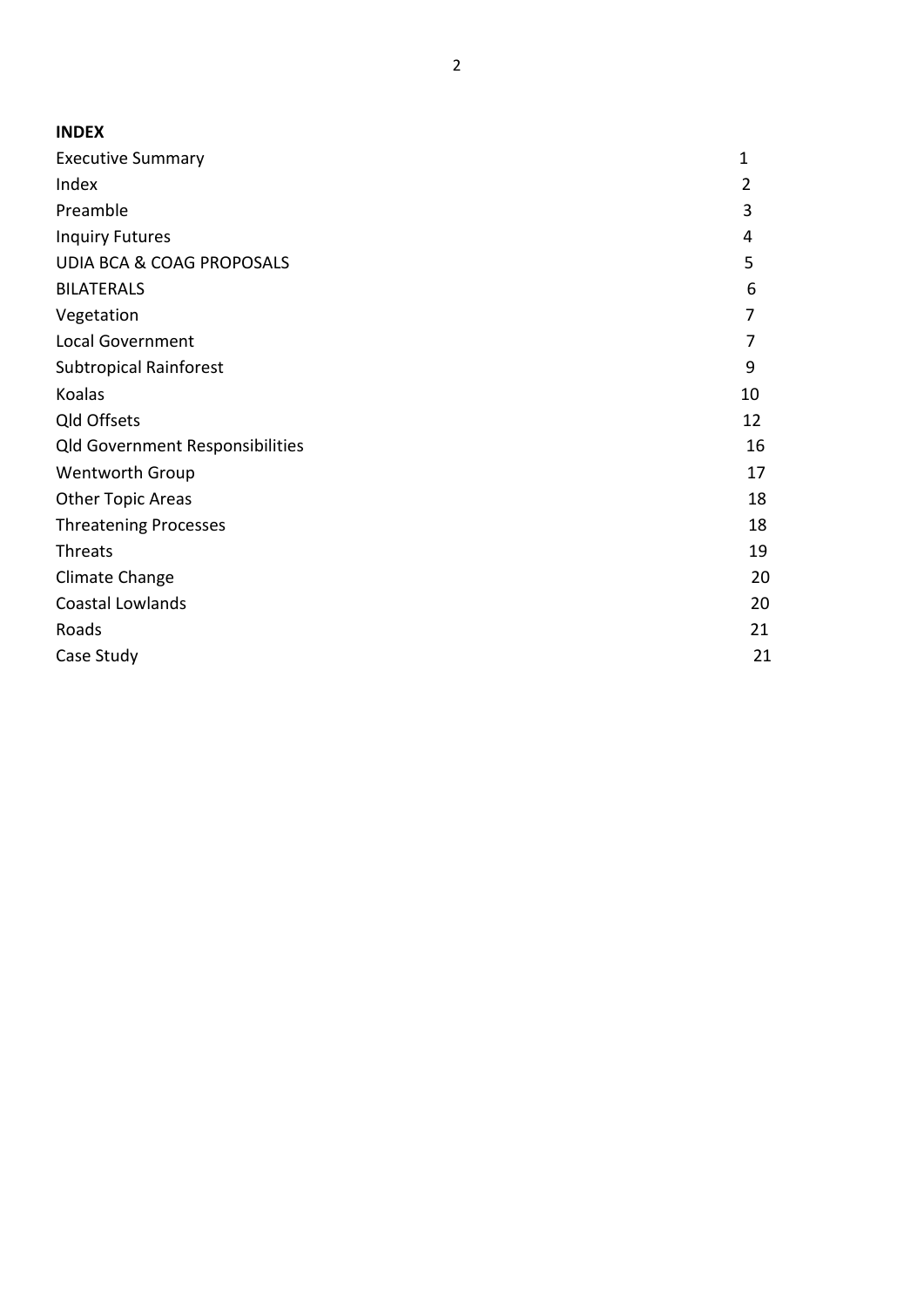| <b>INDEX</b>                           |                |
|----------------------------------------|----------------|
| <b>Executive Summary</b>               | $\mathbf{1}$   |
| Index                                  | $\overline{2}$ |
| Preamble                               | 3              |
| <b>Inquiry Futures</b>                 | 4              |
| <b>UDIA BCA &amp; COAG PROPOSALS</b>   | 5              |
| <b>BILATERALS</b>                      | 6              |
| Vegetation                             | 7              |
| <b>Local Government</b>                | 7              |
| <b>Subtropical Rainforest</b>          | 9              |
| Koalas                                 | 10             |
| Qld Offsets                            | 12             |
| <b>Qld Government Responsibilities</b> | 16             |
| Wentworth Group                        | 17             |
| <b>Other Topic Areas</b>               | 18             |
| <b>Threatening Processes</b>           | 18             |
| Threats                                | 19             |
| Climate Change                         | 20             |
| Coastal Lowlands                       | 20             |
| Roads                                  | 21             |
| Case Study                             | 21             |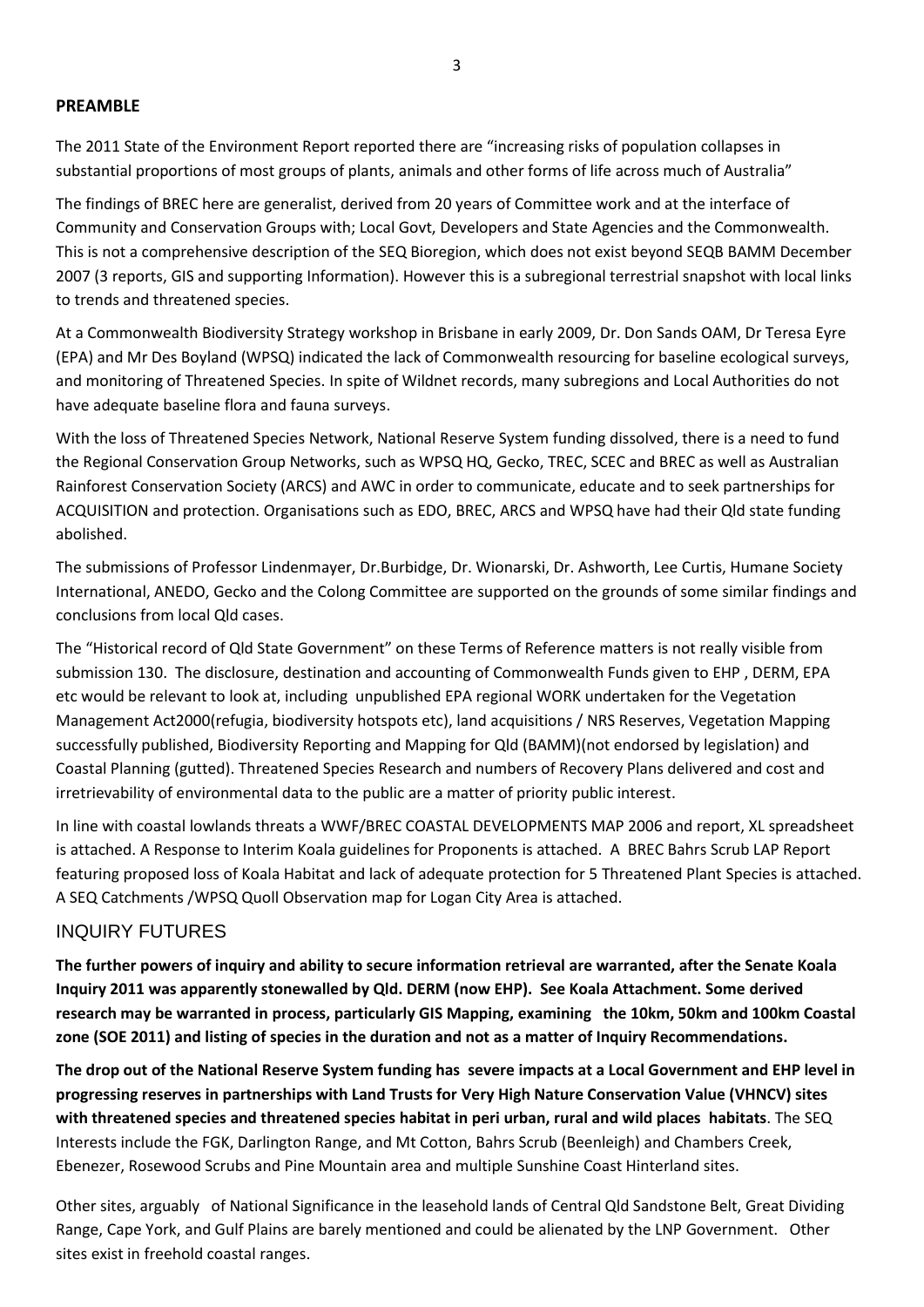#### **PREAMBLE**

The 2011 State of the Environment Report reported there are "increasing risks of population collapses in substantial proportions of most groups of plants, animals and other forms of life across much of Australia"

The findings of BREC here are generalist, derived from 20 years of Committee work and at the interface of Community and Conservation Groups with; Local Govt, Developers and State Agencies and the Commonwealth. This is not a comprehensive description of the SEQ Bioregion, which does not exist beyond SEQB BAMM December 2007 (3 reports, GIS and supporting Information). However this is a subregional terrestrial snapshot with local links to trends and threatened species.

At a Commonwealth Biodiversity Strategy workshop in Brisbane in early 2009, Dr. Don Sands OAM, Dr Teresa Eyre (EPA) and Mr Des Boyland (WPSQ) indicated the lack of Commonwealth resourcing for baseline ecological surveys, and monitoring of Threatened Species. In spite of Wildnet records, many subregions and Local Authorities do not have adequate baseline flora and fauna surveys.

With the loss of Threatened Species Network, National Reserve System funding dissolved, there is a need to fund the Regional Conservation Group Networks, such as WPSQ HQ, Gecko, TREC, SCEC and BREC as well as Australian Rainforest Conservation Society (ARCS) and AWC in order to communicate, educate and to seek partnerships for ACQUISITION and protection. Organisations such as EDO, BREC, ARCS and WPSQ have had their Qld state funding abolished.

The submissions of Professor Lindenmayer, Dr.Burbidge, Dr. Wionarski, Dr. Ashworth, Lee Curtis, Humane Society International, ANEDO, Gecko and the Colong Committee are supported on the grounds of some similar findings and conclusions from local Qld cases.

The "Historical record of Qld State Government" on these Terms of Reference matters is not really visible from submission 130. The disclosure, destination and accounting of Commonwealth Funds given to EHP , DERM, EPA etc would be relevant to look at, including unpublished EPA regional WORK undertaken for the Vegetation Management Act2000(refugia, biodiversity hotspots etc), land acquisitions / NRS Reserves, Vegetation Mapping successfully published, Biodiversity Reporting and Mapping for Qld (BAMM)(not endorsed by legislation) and Coastal Planning (gutted). Threatened Species Research and numbers of Recovery Plans delivered and cost and irretrievability of environmental data to the public are a matter of priority public interest.

In line with coastal lowlands threats a WWF/BREC COASTAL DEVELOPMENTS MAP 2006 and report, XL spreadsheet is attached. A Response to Interim Koala guidelines for Proponents is attached. A BREC Bahrs Scrub LAP Report featuring proposed loss of Koala Habitat and lack of adequate protection for 5 Threatened Plant Species is attached. A SEQ Catchments /WPSQ Quoll Observation map for Logan City Area is attached.

#### INQUIRY FUTURES

**The further powers of inquiry and ability to secure information retrieval are warranted, after the Senate Koala Inquiry 2011 was apparently stonewalled by Qld. DERM (now EHP). See Koala Attachment. Some derived research may be warranted in process, particularly GIS Mapping, examining the 10km, 50km and 100km Coastal zone (SOE 2011) and listing of species in the duration and not as a matter of Inquiry Recommendations.**

**The drop out of the National Reserve System funding has severe impacts at a Local Government and EHP level in progressing reserves in partnerships with Land Trusts for Very High Nature Conservation Value (VHNCV) sites with threatened species and threatened species habitat in peri urban, rural and wild places habitats**. The SEQ Interests include the FGK, Darlington Range, and Mt Cotton, Bahrs Scrub (Beenleigh) and Chambers Creek, Ebenezer, Rosewood Scrubs and Pine Mountain area and multiple Sunshine Coast Hinterland sites.

Other sites, arguably of National Significance in the leasehold lands of Central Qld Sandstone Belt, Great Dividing Range, Cape York, and Gulf Plains are barely mentioned and could be alienated by the LNP Government. Other sites exist in freehold coastal ranges.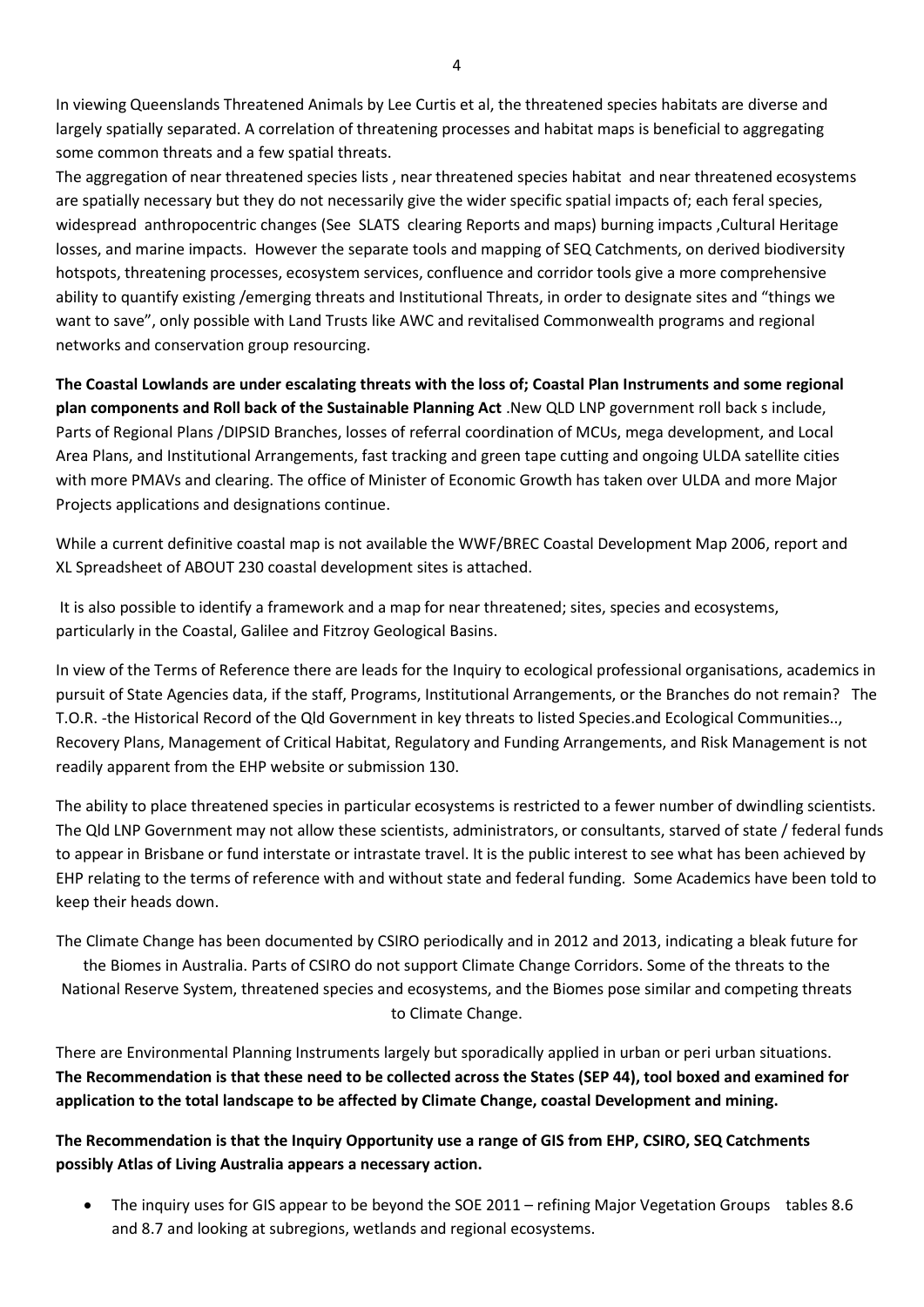In viewing Queenslands Threatened Animals by Lee Curtis et al, the threatened species habitats are diverse and largely spatially separated. A correlation of threatening processes and habitat maps is beneficial to aggregating some common threats and a few spatial threats.

The aggregation of near threatened species lists , near threatened species habitat and near threatened ecosystems are spatially necessary but they do not necessarily give the wider specific spatial impacts of; each feral species, widespread anthropocentric changes (See SLATS clearing Reports and maps) burning impacts ,Cultural Heritage losses, and marine impacts. However the separate tools and mapping of SEQ Catchments, on derived biodiversity hotspots, threatening processes, ecosystem services, confluence and corridor tools give a more comprehensive ability to quantify existing /emerging threats and Institutional Threats, in order to designate sites and "things we want to save", only possible with Land Trusts like AWC and revitalised Commonwealth programs and regional networks and conservation group resourcing.

**The Coastal Lowlands are under escalating threats with the loss of; Coastal Plan Instruments and some regional plan components and Roll back of the Sustainable Planning Act** .New QLD LNP government roll back s include, Parts of Regional Plans /DIPSID Branches, losses of referral coordination of MCUs, mega development, and Local Area Plans, and Institutional Arrangements, fast tracking and green tape cutting and ongoing ULDA satellite cities with more PMAVs and clearing. The office of Minister of Economic Growth has taken over ULDA and more Major Projects applications and designations continue.

While a current definitive coastal map is not available the WWF/BREC Coastal Development Map 2006, report and XL Spreadsheet of ABOUT 230 coastal development sites is attached.

It is also possible to identify a framework and a map for near threatened; sites, species and ecosystems, particularly in the Coastal, Galilee and Fitzroy Geological Basins.

In view of the Terms of Reference there are leads for the Inquiry to ecological professional organisations, academics in pursuit of State Agencies data, if the staff, Programs, Institutional Arrangements, or the Branches do not remain? The T.O.R. -the Historical Record of the Qld Government in key threats to listed Species.and Ecological Communities.., Recovery Plans, Management of Critical Habitat, Regulatory and Funding Arrangements, and Risk Management is not readily apparent from the EHP website or submission 130.

The ability to place threatened species in particular ecosystems is restricted to a fewer number of dwindling scientists. The Qld LNP Government may not allow these scientists, administrators, or consultants, starved of state / federal funds to appear in Brisbane or fund interstate or intrastate travel. It is the public interest to see what has been achieved by EHP relating to the terms of reference with and without state and federal funding. Some Academics have been told to keep their heads down.

The Climate Change has been documented by CSIRO periodically and in 2012 and 2013, indicating a bleak future for the Biomes in Australia. Parts of CSIRO do not support Climate Change Corridors. Some of the threats to the National Reserve System, threatened species and ecosystems, and the Biomes pose similar and competing threats to Climate Change.

There are Environmental Planning Instruments largely but sporadically applied in urban or peri urban situations. **The Recommendation is that these need to be collected across the States (SEP 44), tool boxed and examined for application to the total landscape to be affected by Climate Change, coastal Development and mining.**

**The Recommendation is that the Inquiry Opportunity use a range of GIS from EHP, CSIRO, SEQ Catchments possibly Atlas of Living Australia appears a necessary action.**

 The inquiry uses for GIS appear to be beyond the SOE 2011 – refining Major Vegetation Groups tables 8.6 and 8.7 and looking at subregions, wetlands and regional ecosystems.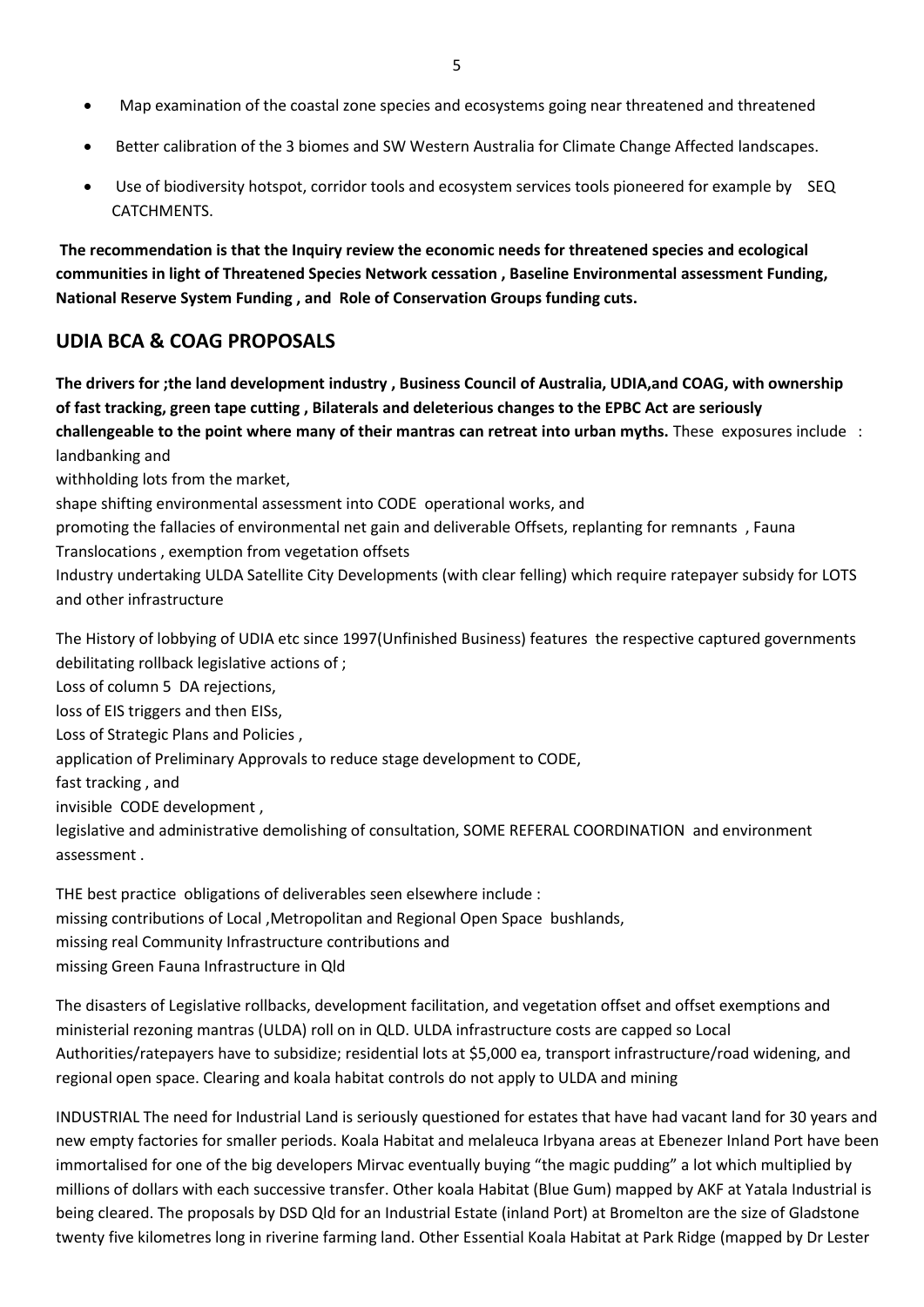- Map examination of the coastal zone species and ecosystems going near threatened and threatened
- Better calibration of the 3 biomes and SW Western Australia for Climate Change Affected landscapes.
- Use of biodiversity hotspot, corridor tools and ecosystem services tools pioneered for example by SEQ CATCHMENTS.

**The recommendation is that the Inquiry review the economic needs for threatened species and ecological communities in light of Threatened Species Network cessation , Baseline Environmental assessment Funding, National Reserve System Funding , and Role of Conservation Groups funding cuts.**

# **UDIA BCA & COAG PROPOSALS**

**The drivers for ;the land development industry , Business Council of Australia, UDIA,and COAG, with ownership of fast tracking, green tape cutting , Bilaterals and deleterious changes to the EPBC Act are seriously challengeable to the point where many of their mantras can retreat into urban myths.** These exposures include : landbanking and

withholding lots from the market,

shape shifting environmental assessment into CODE operational works, and

promoting the fallacies of environmental net gain and deliverable Offsets, replanting for remnants , Fauna

Translocations , exemption from vegetation offsets

Industry undertaking ULDA Satellite City Developments (with clear felling) which require ratepayer subsidy for LOTS and other infrastructure

The History of lobbying of UDIA etc since 1997(Unfinished Business) features the respective captured governments debilitating rollback legislative actions of ;

Loss of column 5 DA rejections,

loss of EIS triggers and then EISs,

Loss of Strategic Plans and Policies ,

application of Preliminary Approvals to reduce stage development to CODE,

fast tracking , and

invisible CODE development ,

legislative and administrative demolishing of consultation, SOME REFERAL COORDINATION and environment assessment .

THE best practice obligations of deliverables seen elsewhere include : missing contributions of Local ,Metropolitan and Regional Open Space bushlands, missing real Community Infrastructure contributions and missing Green Fauna Infrastructure in Qld

The disasters of Legislative rollbacks, development facilitation, and vegetation offset and offset exemptions and ministerial rezoning mantras (ULDA) roll on in QLD. ULDA infrastructure costs are capped so Local Authorities/ratepayers have to subsidize; residential lots at \$5,000 ea, transport infrastructure/road widening, and regional open space. Clearing and koala habitat controls do not apply to ULDA and mining

INDUSTRIAL The need for Industrial Land is seriously questioned for estates that have had vacant land for 30 years and new empty factories for smaller periods. Koala Habitat and melaleuca Irbyana areas at Ebenezer Inland Port have been immortalised for one of the big developers Mirvac eventually buying "the magic pudding" a lot which multiplied by millions of dollars with each successive transfer. Other koala Habitat (Blue Gum) mapped by AKF at Yatala Industrial is being cleared. The proposals by DSD Qld for an Industrial Estate (inland Port) at Bromelton are the size of Gladstone twenty five kilometres long in riverine farming land. Other Essential Koala Habitat at Park Ridge (mapped by Dr Lester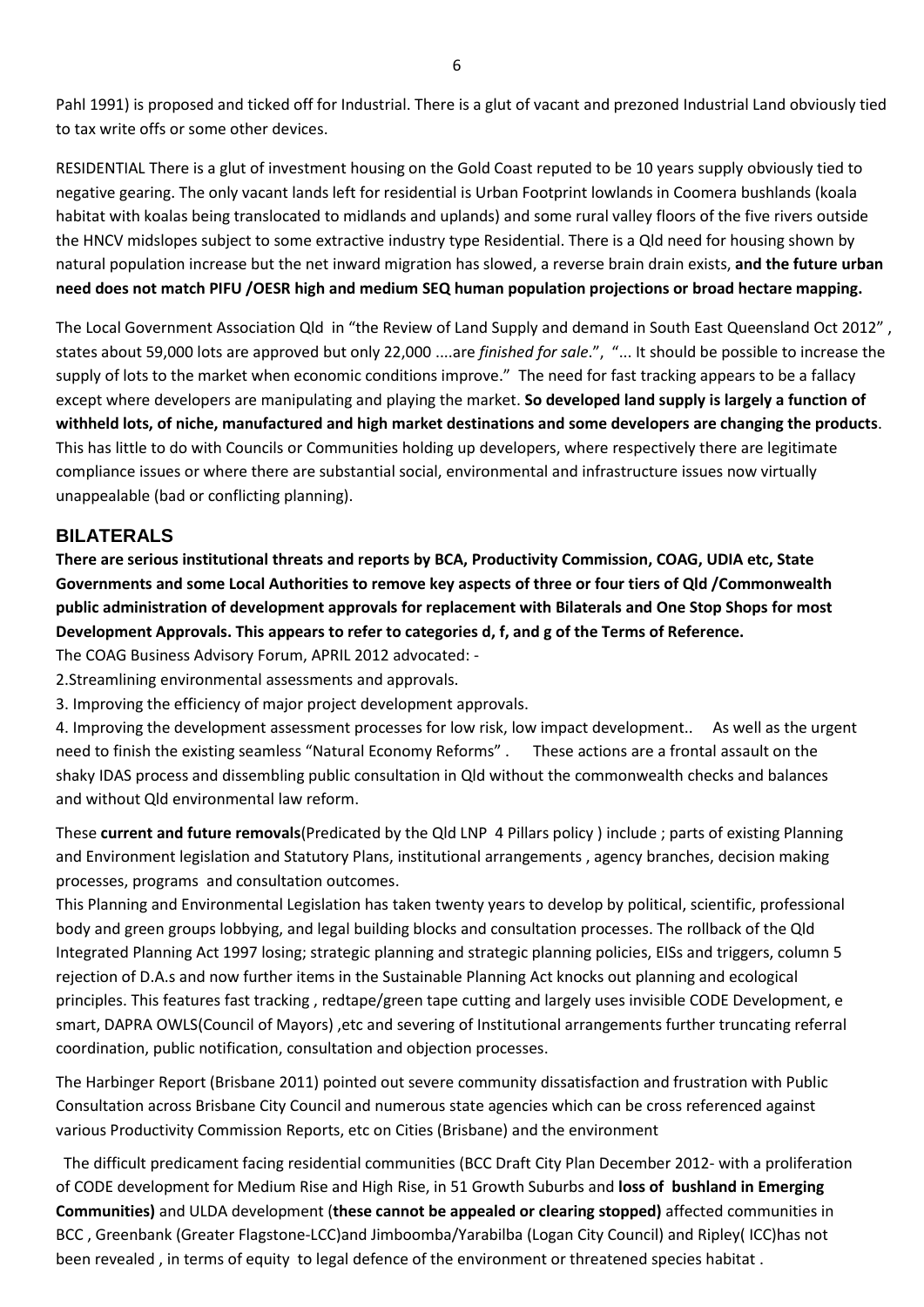Pahl 1991) is proposed and ticked off for Industrial. There is a glut of vacant and prezoned Industrial Land obviously tied to tax write offs or some other devices.

RESIDENTIAL There is a glut of investment housing on the Gold Coast reputed to be 10 years supply obviously tied to negative gearing. The only vacant lands left for residential is Urban Footprint lowlands in Coomera bushlands (koala habitat with koalas being translocated to midlands and uplands) and some rural valley floors of the five rivers outside the HNCV midslopes subject to some extractive industry type Residential. There is a Qld need for housing shown by natural population increase but the net inward migration has slowed, a reverse brain drain exists, **and the future urban need does not match PIFU /OESR high and medium SEQ human population projections or broad hectare mapping.** 

The Local Government Association Qld in "the Review of Land Supply and demand in South East Queensland Oct 2012" , states about 59,000 lots are approved but only 22,000 ....are *finished for sale*.", "... It should be possible to increase the supply of lots to the market when economic conditions improve." The need for fast tracking appears to be a fallacy except where developers are manipulating and playing the market. **So developed land supply is largely a function of withheld lots, of niche, manufactured and high market destinations and some developers are changing the products**. This has little to do with Councils or Communities holding up developers, where respectively there are legitimate compliance issues or where there are substantial social, environmental and infrastructure issues now virtually unappealable (bad or conflicting planning).

## **BILATERALS**

**There are serious institutional threats and reports by BCA, Productivity Commission, COAG, UDIA etc, State Governments and some Local Authorities to remove key aspects of three or four tiers of Qld /Commonwealth public administration of development approvals for replacement with Bilaterals and One Stop Shops for most Development Approvals. This appears to refer to categories d, f, and g of the Terms of Reference.** 

The COAG Business Advisory Forum, APRIL 2012 advocated: -

2.Streamlining environmental assessments and approvals.

3. Improving the efficiency of major project development approvals.

4. Improving the development assessment processes for low risk, low impact development.. As well as the urgent need to finish the existing seamless "Natural Economy Reforms" . These actions are a frontal assault on the shaky IDAS process and dissembling public consultation in Qld without the commonwealth checks and balances and without Qld environmental law reform.

These **current and future removals**(Predicated by the Qld LNP 4 Pillars policy ) include ; parts of existing Planning and Environment legislation and Statutory Plans, institutional arrangements , agency branches, decision making processes, programs and consultation outcomes.

This Planning and Environmental Legislation has taken twenty years to develop by political, scientific, professional body and green groups lobbying, and legal building blocks and consultation processes. The rollback of the Qld Integrated Planning Act 1997 losing; strategic planning and strategic planning policies, EISs and triggers, column 5 rejection of D.A.s and now further items in the Sustainable Planning Act knocks out planning and ecological principles. This features fast tracking , redtape/green tape cutting and largely uses invisible CODE Development, e smart, DAPRA OWLS(Council of Mayors) ,etc and severing of Institutional arrangements further truncating referral coordination, public notification, consultation and objection processes.

The Harbinger Report (Brisbane 2011) pointed out severe community dissatisfaction and frustration with Public Consultation across Brisbane City Council and numerous state agencies which can be cross referenced against various Productivity Commission Reports, etc on Cities (Brisbane) and the environment

The difficult predicament facing residential communities (BCC Draft City Plan December 2012- with a proliferation of CODE development for Medium Rise and High Rise, in 51 Growth Suburbs and **loss of bushland in Emerging Communities)** and ULDA development (**these cannot be appealed or clearing stopped)** affected communities in BCC , Greenbank (Greater Flagstone-LCC)and Jimboomba/Yarabilba (Logan City Council) and Ripley( ICC)has not been revealed , in terms of equity to legal defence of the environment or threatened species habitat .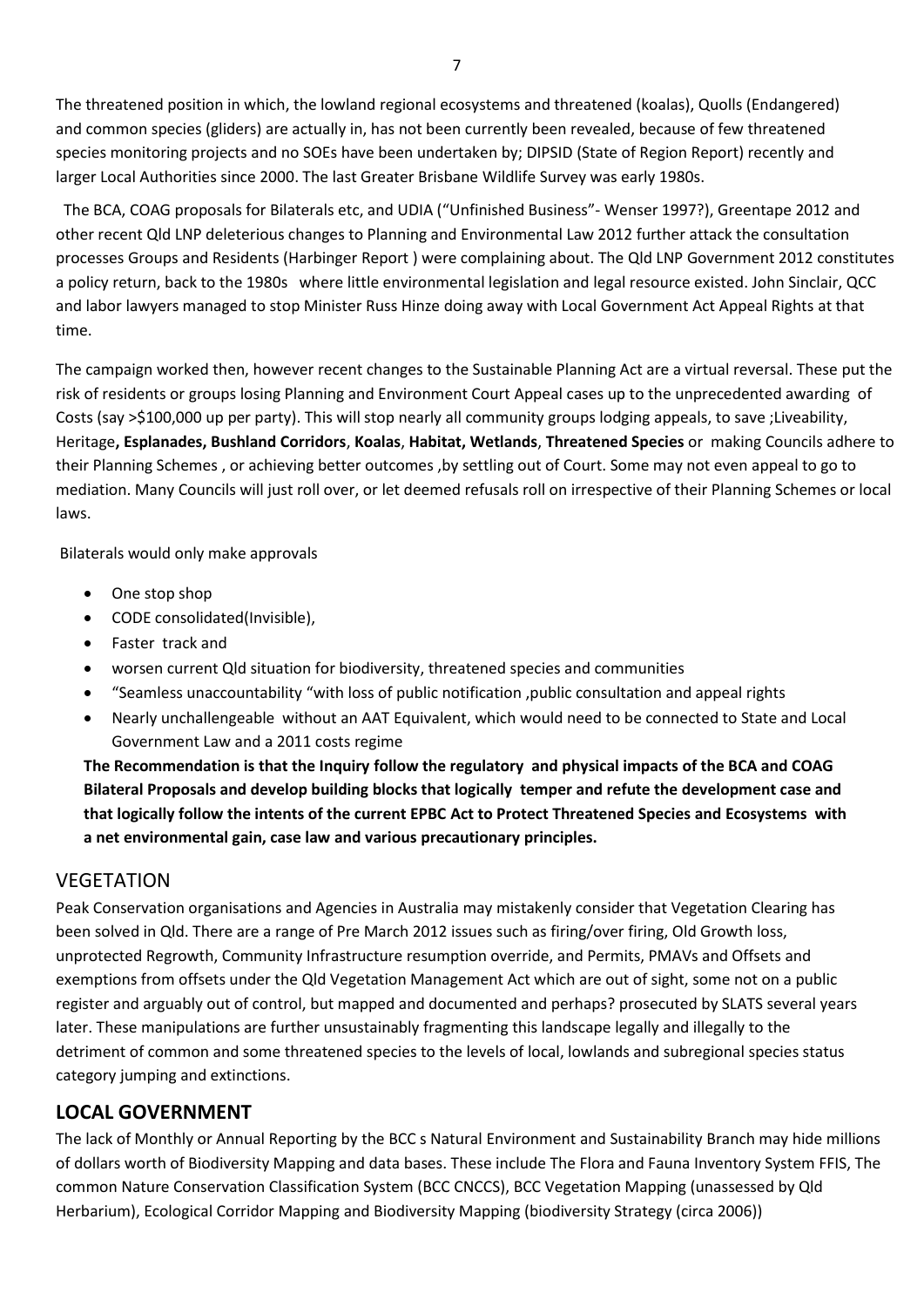The threatened position in which, the lowland regional ecosystems and threatened (koalas), Quolls (Endangered) and common species (gliders) are actually in, has not been currently been revealed, because of few threatened species monitoring projects and no SOEs have been undertaken by; DIPSID (State of Region Report) recently and larger Local Authorities since 2000. The last Greater Brisbane Wildlife Survey was early 1980s.

 The BCA, COAG proposals for Bilaterals etc, and UDIA ("Unfinished Business"- Wenser 1997?), Greentape 2012 and other recent Qld LNP deleterious changes to Planning and Environmental Law 2012 further attack the consultation processes Groups and Residents (Harbinger Report ) were complaining about. The Qld LNP Government 2012 constitutes a policy return, back to the 1980s where little environmental legislation and legal resource existed. John Sinclair, QCC and labor lawyers managed to stop Minister Russ Hinze doing away with Local Government Act Appeal Rights at that time.

The campaign worked then, however recent changes to the Sustainable Planning Act are a virtual reversal. These put the risk of residents or groups losing Planning and Environment Court Appeal cases up to the unprecedented awarding of Costs (say >\$100,000 up per party). This will stop nearly all community groups lodging appeals, to save ;Liveability, Heritage**, Esplanades, Bushland Corridors**, **Koalas**, **Habitat, Wetlands**, **Threatened Species** or making Councils adhere to their Planning Schemes , or achieving better outcomes ,by settling out of Court. Some may not even appeal to go to mediation. Many Councils will just roll over, or let deemed refusals roll on irrespective of their Planning Schemes or local laws.

Bilaterals would only make approvals

- One stop shop
- CODE consolidated(Invisible),
- Faster track and
- worsen current Qld situation for biodiversity, threatened species and communities
- "Seamless unaccountability "with loss of public notification ,public consultation and appeal rights
- Nearly unchallengeable without an AAT Equivalent, which would need to be connected to State and Local Government Law and a 2011 costs regime

**The Recommendation is that the Inquiry follow the regulatory and physical impacts of the BCA and COAG Bilateral Proposals and develop building blocks that logically temper and refute the development case and that logically follow the intents of the current EPBC Act to Protect Threatened Species and Ecosystems with a net environmental gain, case law and various precautionary principles.**

# **VEGETATION**

Peak Conservation organisations and Agencies in Australia may mistakenly consider that Vegetation Clearing has been solved in Qld. There are a range of Pre March 2012 issues such as firing/over firing, Old Growth loss, unprotected Regrowth, Community Infrastructure resumption override, and Permits, PMAVs and Offsets and exemptions from offsets under the Qld Vegetation Management Act which are out of sight, some not on a public register and arguably out of control, but mapped and documented and perhaps? prosecuted by SLATS several years later. These manipulations are further unsustainably fragmenting this landscape legally and illegally to the detriment of common and some threatened species to the levels of local, lowlands and subregional species status category jumping and extinctions.

# **LOCAL GOVERNMENT**

The lack of Monthly or Annual Reporting by the BCC s Natural Environment and Sustainability Branch may hide millions of dollars worth of Biodiversity Mapping and data bases. These include The Flora and Fauna Inventory System FFIS, The common Nature Conservation Classification System (BCC CNCCS), BCC Vegetation Mapping (unassessed by Qld Herbarium), Ecological Corridor Mapping and Biodiversity Mapping (biodiversity Strategy (circa 2006))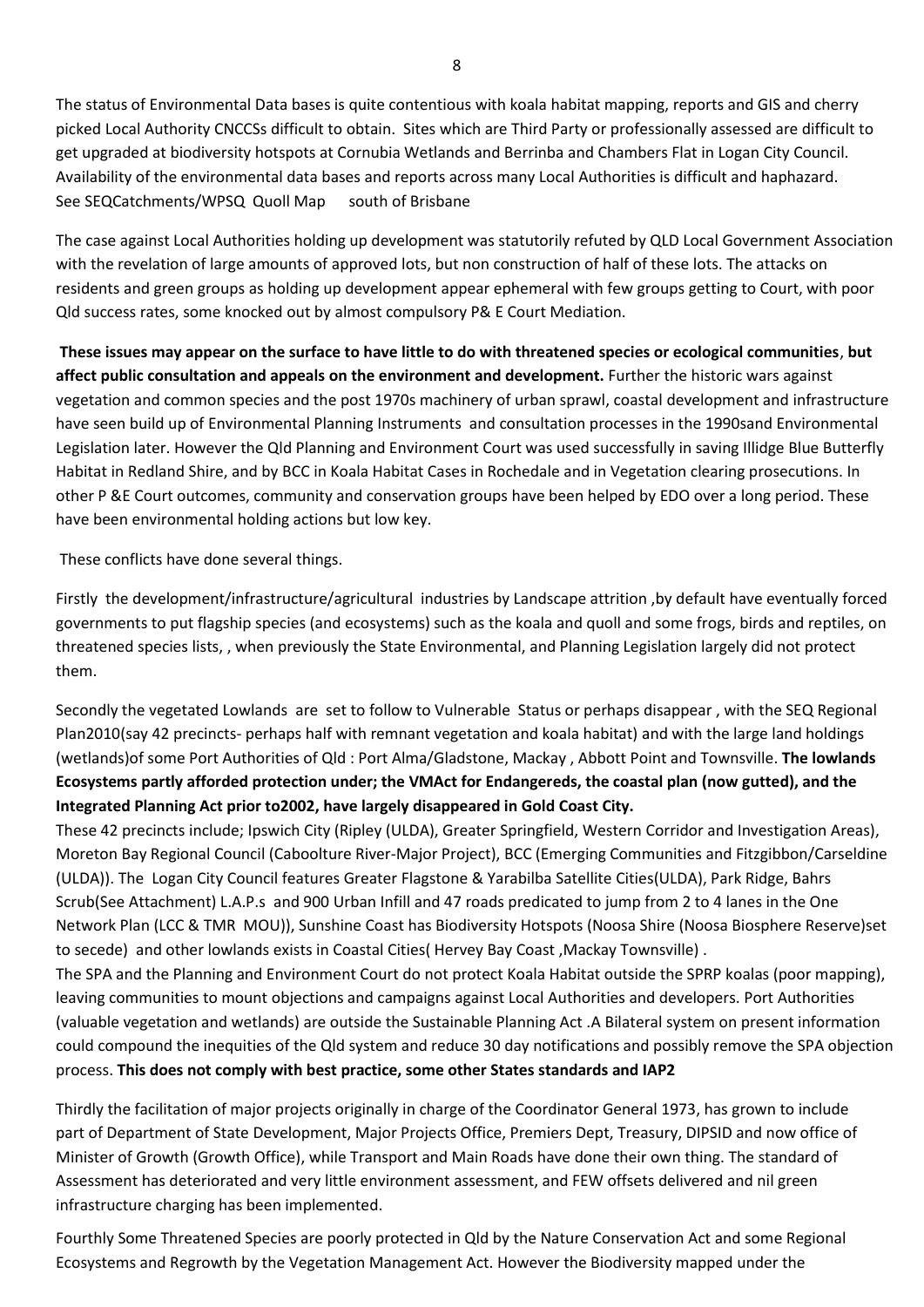The status of Environmental Data bases is quite contentious with koala habitat mapping, reports and GIS and cherry picked Local Authority CNCCSs difficult to obtain. Sites which are Third Party or professionally assessed are difficult to get upgraded at biodiversity hotspots at Cornubia Wetlands and Berrinba and Chambers Flat in Logan City Council. Availability of the environmental data bases and reports across many Local Authorities is difficult and haphazard. See SEQCatchments/WPSQ Quoll Map south of Brisbane

The case against Local Authorities holding up development was statutorily refuted by QLD Local Government Association with the revelation of large amounts of approved lots, but non construction of half of these lots. The attacks on residents and green groups as holding up development appear ephemeral with few groups getting to Court, with poor Qld success rates, some knocked out by almost compulsory P& E Court Mediation.

**These issues may appear on the surface to have little to do with threatened species or ecological communities**, **but affect public consultation and appeals on the environment and development.** Further the historic wars against vegetation and common species and the post 1970s machinery of urban sprawl, coastal development and infrastructure have seen build up of Environmental Planning Instruments and consultation processes in the 1990sand Environmental Legislation later. However the Qld Planning and Environment Court was used successfully in saving Illidge Blue Butterfly Habitat in Redland Shire, and by BCC in Koala Habitat Cases in Rochedale and in Vegetation clearing prosecutions. In other P &E Court outcomes, community and conservation groups have been helped by EDO over a long period. These have been environmental holding actions but low key.

These conflicts have done several things.

Firstly the development/infrastructure/agricultural industries by Landscape attrition ,by default have eventually forced governments to put flagship species (and ecosystems) such as the koala and quoll and some frogs, birds and reptiles, on threatened species lists, , when previously the State Environmental, and Planning Legislation largely did not protect them.

Secondly the vegetated Lowlands are set to follow to Vulnerable Status or perhaps disappear , with the SEQ Regional Plan2010(say 42 precincts- perhaps half with remnant vegetation and koala habitat) and with the large land holdings (wetlands)of some Port Authorities of Qld : Port Alma/Gladstone, Mackay , Abbott Point and Townsville. **The lowlands Ecosystems partly afforded protection under; the VMAct for Endangereds, the coastal plan (now gutted), and the Integrated Planning Act prior to2002, have largely disappeared in Gold Coast City.**

These 42 precincts include; Ipswich City (Ripley (ULDA), Greater Springfield, Western Corridor and Investigation Areas), Moreton Bay Regional Council (Caboolture River-Major Project), BCC (Emerging Communities and Fitzgibbon/Carseldine (ULDA)). The Logan City Council features Greater Flagstone & Yarabilba Satellite Cities(ULDA), Park Ridge, Bahrs Scrub(See Attachment) L.A.P.s and 900 Urban Infill and 47 roads predicated to jump from 2 to 4 lanes in the One Network Plan (LCC & TMR MOU)), Sunshine Coast has Biodiversity Hotspots (Noosa Shire (Noosa Biosphere Reserve)set to secede) and other lowlands exists in Coastal Cities( Hervey Bay Coast ,Mackay Townsville) .

The SPA and the Planning and Environment Court do not protect Koala Habitat outside the SPRP koalas (poor mapping), leaving communities to mount objections and campaigns against Local Authorities and developers. Port Authorities (valuable vegetation and wetlands) are outside the Sustainable Planning Act .A Bilateral system on present information could compound the inequities of the Qld system and reduce 30 day notifications and possibly remove the SPA objection process. **This does not comply with best practice, some other States standards and IAP2**

Thirdly the facilitation of major projects originally in charge of the Coordinator General 1973, has grown to include part of Department of State Development, Major Projects Office, Premiers Dept, Treasury, DIPSID and now office of Minister of Growth (Growth Office), while Transport and Main Roads have done their own thing. The standard of Assessment has deteriorated and very little environment assessment, and FEW offsets delivered and nil green infrastructure charging has been implemented.

Fourthly Some Threatened Species are poorly protected in Qld by the Nature Conservation Act and some Regional Ecosystems and Regrowth by the Vegetation Management Act. However the Biodiversity mapped under the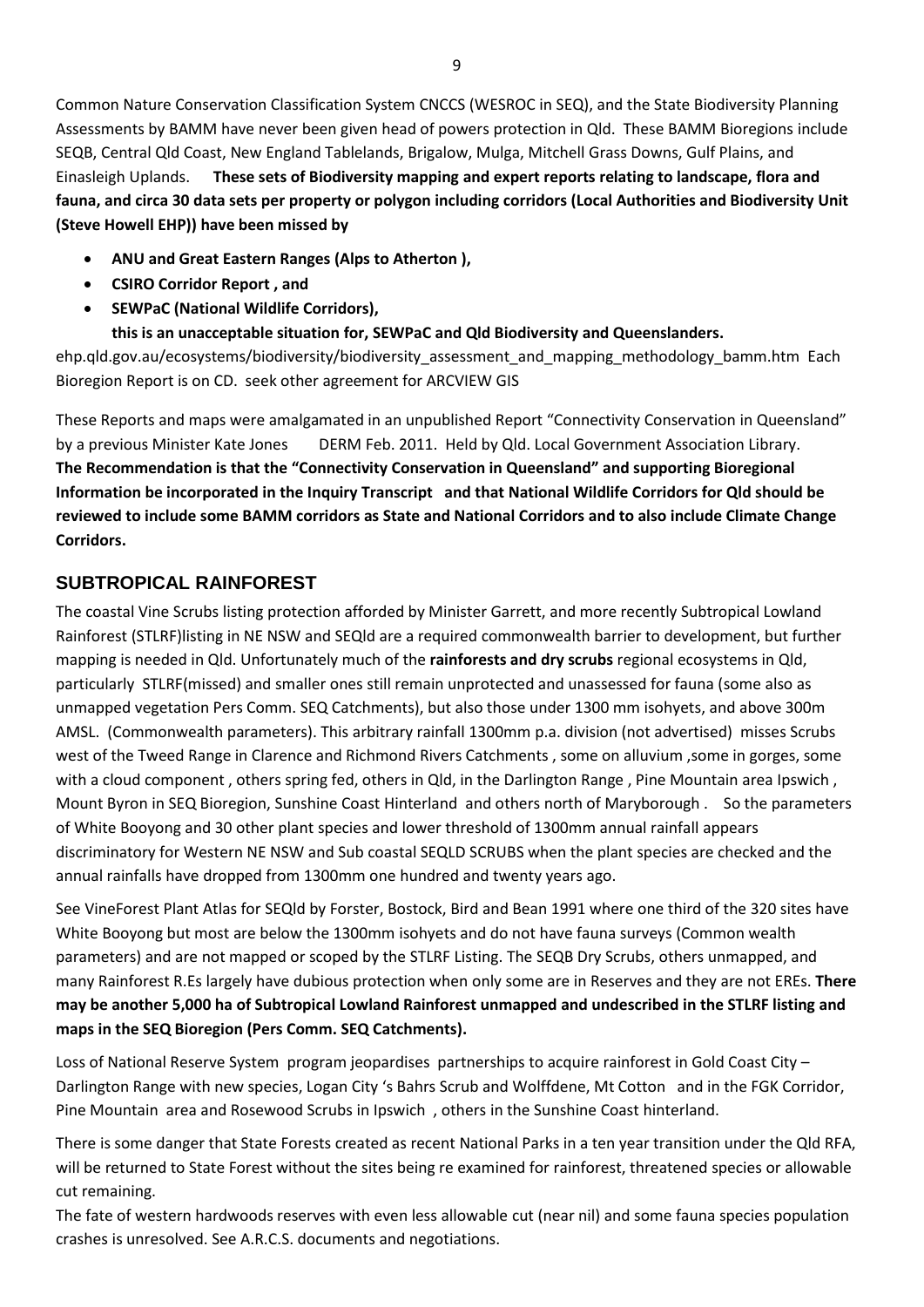Common Nature Conservation Classification System CNCCS (WESROC in SEQ), and the State Biodiversity Planning Assessments by BAMM have never been given head of powers protection in Qld. These BAMM Bioregions include SEQB, Central Qld Coast, New England Tablelands, Brigalow, Mulga, Mitchell Grass Downs, Gulf Plains, and Einasleigh Uplands. **These sets of Biodiversity mapping and expert reports relating to landscape, flora and fauna, and circa 30 data sets per property or polygon including corridors (Local Authorities and Biodiversity Unit (Steve Howell EHP)) have been missed by** 

- **ANU and Great Eastern Ranges (Alps to Atherton ),**
- **CSIRO Corridor Report , and**
- **SEWPaC (National Wildlife Corridors),**
- **this is an unacceptable situation for, SEWPaC and Qld Biodiversity and Queenslanders.**

ehp.qld.gov.au/ecosystems/biodiversity/biodiversity assessment and mapping methodology bamm.htm Each Bioregion Report is on CD. seek other agreement for ARCVIEW GIS

These Reports and maps were amalgamated in an unpublished Report "Connectivity Conservation in Queensland" by a previous Minister Kate Jones DERM Feb. 2011. Held by Qld. Local Government Association Library. **The Recommendation is that the "Connectivity Conservation in Queensland" and supporting Bioregional Information be incorporated in the Inquiry Transcript and that National Wildlife Corridors for Qld should be reviewed to include some BAMM corridors as State and National Corridors and to also include Climate Change Corridors.**

# **SUBTROPICAL RAINFOREST**

The coastal Vine Scrubs listing protection afforded by Minister Garrett, and more recently Subtropical Lowland Rainforest (STLRF)listing in NE NSW and SEQld are a required commonwealth barrier to development, but further mapping is needed in Qld. Unfortunately much of the **rainforests and dry scrubs** regional ecosystems in Qld, particularly STLRF(missed) and smaller ones still remain unprotected and unassessed for fauna (some also as unmapped vegetation Pers Comm. SEQ Catchments), but also those under 1300 mm isohyets, and above 300m AMSL. (Commonwealth parameters). This arbitrary rainfall 1300mm p.a. division (not advertised) misses Scrubs west of the Tweed Range in Clarence and Richmond Rivers Catchments , some on alluvium ,some in gorges, some with a cloud component, others spring fed, others in Qld, in the Darlington Range, Pine Mountain area Ipswich, Mount Byron in SEQ Bioregion, Sunshine Coast Hinterland and others north of Maryborough . So the parameters of White Booyong and 30 other plant species and lower threshold of 1300mm annual rainfall appears discriminatory for Western NE NSW and Sub coastal SEQLD SCRUBS when the plant species are checked and the annual rainfalls have dropped from 1300mm one hundred and twenty years ago.

See VineForest Plant Atlas for SEQld by Forster, Bostock, Bird and Bean 1991 where one third of the 320 sites have White Booyong but most are below the 1300mm isohyets and do not have fauna surveys (Common wealth parameters) and are not mapped or scoped by the STLRF Listing. The SEQB Dry Scrubs, others unmapped, and many Rainforest R.Es largely have dubious protection when only some are in Reserves and they are not EREs. **There may be another 5,000 ha of Subtropical Lowland Rainforest unmapped and undescribed in the STLRF listing and maps in the SEQ Bioregion (Pers Comm. SEQ Catchments).** 

Loss of National Reserve System program jeopardises partnerships to acquire rainforest in Gold Coast City – Darlington Range with new species, Logan City 's Bahrs Scrub and Wolffdene, Mt Cotton and in the FGK Corridor, Pine Mountain area and Rosewood Scrubs in Ipswich , others in the Sunshine Coast hinterland.

There is some danger that State Forests created as recent National Parks in a ten year transition under the Qld RFA, will be returned to State Forest without the sites being re examined for rainforest, threatened species or allowable cut remaining.

The fate of western hardwoods reserves with even less allowable cut (near nil) and some fauna species population crashes is unresolved. See A.R.C.S. documents and negotiations.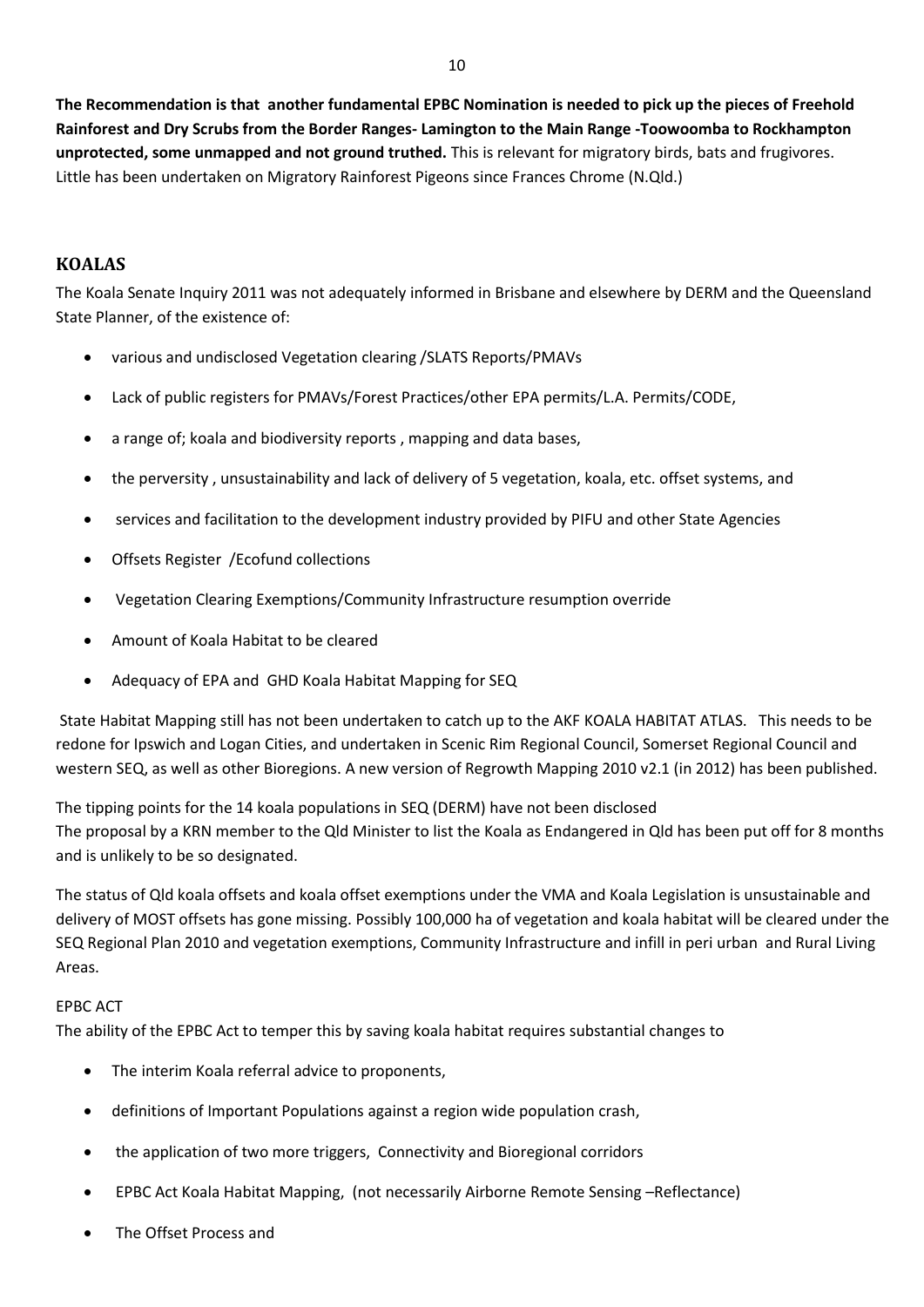**The Recommendation is that another fundamental EPBC Nomination is needed to pick up the pieces of Freehold Rainforest and Dry Scrubs from the Border Ranges- Lamington to the Main Range -Toowoomba to Rockhampton unprotected, some unmapped and not ground truthed.** This is relevant for migratory birds, bats and frugivores. Little has been undertaken on Migratory Rainforest Pigeons since Frances Chrome (N.Qld.)

## **KOALAS**

The Koala Senate Inquiry 2011 was not adequately informed in Brisbane and elsewhere by DERM and the Queensland State Planner, of the existence of:

- various and undisclosed Vegetation clearing /SLATS Reports/PMAVs
- Lack of public registers for PMAVs/Forest Practices/other EPA permits/L.A. Permits/CODE,
- a range of; koala and biodiversity reports , mapping and data bases,
- the perversity , unsustainability and lack of delivery of 5 vegetation, koala, etc. offset systems, and
- services and facilitation to the development industry provided by PIFU and other State Agencies
- Offsets Register /Ecofund collections
- Vegetation Clearing Exemptions/Community Infrastructure resumption override
- Amount of Koala Habitat to be cleared
- Adequacy of EPA and GHD Koala Habitat Mapping for SEQ

State Habitat Mapping still has not been undertaken to catch up to the AKF KOALA HABITAT ATLAS. This needs to be redone for Ipswich and Logan Cities, and undertaken in Scenic Rim Regional Council, Somerset Regional Council and western SEQ, as well as other Bioregions. A new version of Regrowth Mapping 2010 v2.1 (in 2012) has been published.

The tipping points for the 14 koala populations in SEQ (DERM) have not been disclosed The proposal by a KRN member to the Qld Minister to list the Koala as Endangered in Qld has been put off for 8 months and is unlikely to be so designated.

The status of Qld koala offsets and koala offset exemptions under the VMA and Koala Legislation is unsustainable and delivery of MOST offsets has gone missing. Possibly 100,000 ha of vegetation and koala habitat will be cleared under the SEQ Regional Plan 2010 and vegetation exemptions, Community Infrastructure and infill in peri urban and Rural Living Areas.

## EPBC ACT

The ability of the EPBC Act to temper this by saving koala habitat requires substantial changes to

- The interim Koala referral advice to proponents,
- definitions of Important Populations against a region wide population crash,
- the application of two more triggers, Connectivity and Bioregional corridors
- EPBC Act Koala Habitat Mapping, (not necessarily Airborne Remote Sensing –Reflectance)
- The Offset Process and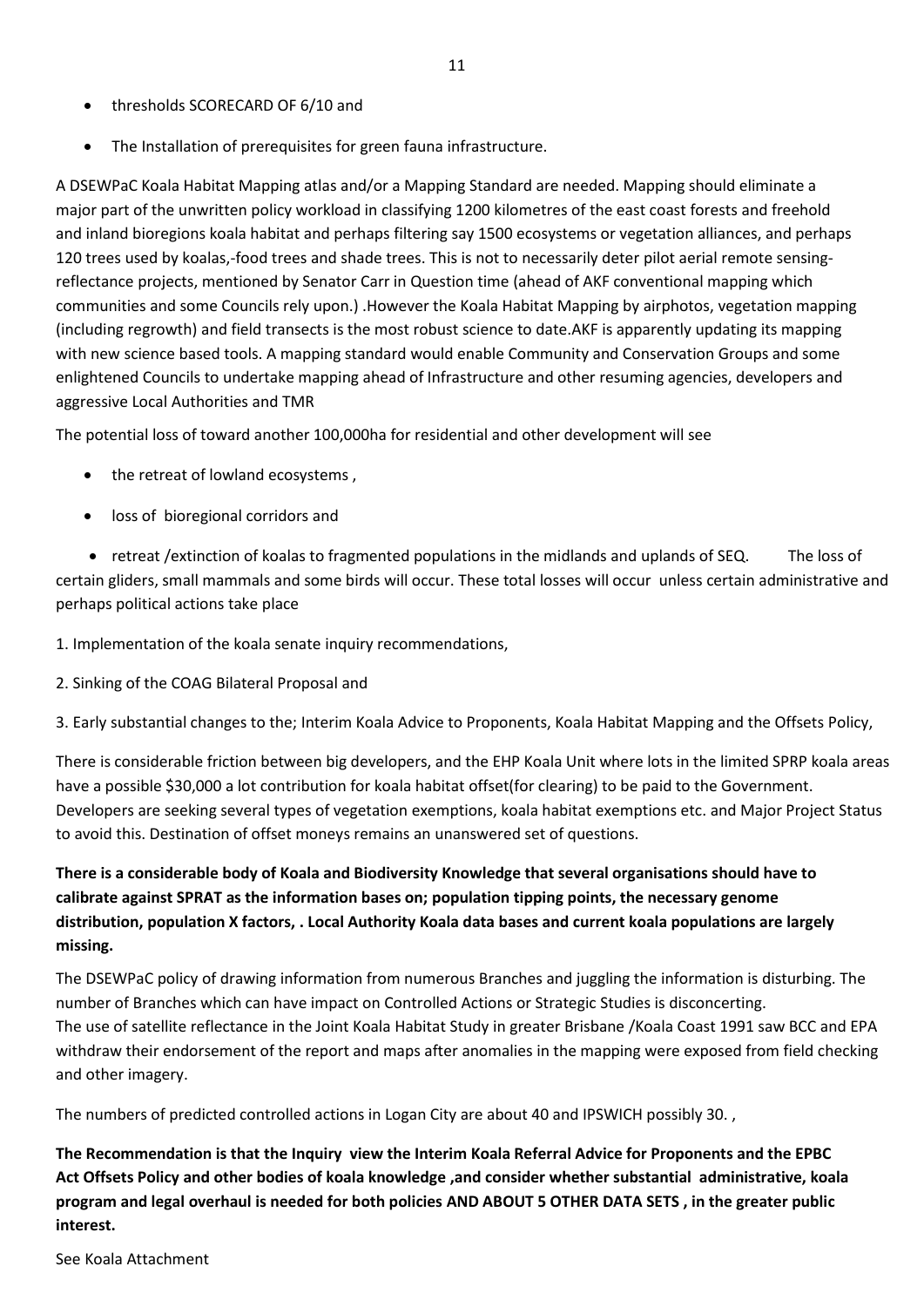11

- thresholds SCORECARD OF 6/10 and
- The Installation of prerequisites for green fauna infrastructure.

A DSEWPaC Koala Habitat Mapping atlas and/or a Mapping Standard are needed. Mapping should eliminate a major part of the unwritten policy workload in classifying 1200 kilometres of the east coast forests and freehold and inland bioregions koala habitat and perhaps filtering say 1500 ecosystems or vegetation alliances, and perhaps 120 trees used by koalas,-food trees and shade trees. This is not to necessarily deter pilot aerial remote sensingreflectance projects, mentioned by Senator Carr in Question time (ahead of AKF conventional mapping which communities and some Councils rely upon.) .However the Koala Habitat Mapping by airphotos, vegetation mapping (including regrowth) and field transects is the most robust science to date.AKF is apparently updating its mapping with new science based tools. A mapping standard would enable Community and Conservation Groups and some enlightened Councils to undertake mapping ahead of Infrastructure and other resuming agencies, developers and aggressive Local Authorities and TMR

The potential loss of toward another 100,000ha for residential and other development will see

- the retreat of lowland ecosystems ,
- loss of bioregional corridors and

• retreat /extinction of koalas to fragmented populations in the midlands and uplands of SEQ. The loss of certain gliders, small mammals and some birds will occur. These total losses will occur unless certain administrative and perhaps political actions take place

1. Implementation of the koala senate inquiry recommendations,

2. Sinking of the COAG Bilateral Proposal and

3. Early substantial changes to the; Interim Koala Advice to Proponents, Koala Habitat Mapping and the Offsets Policy,

There is considerable friction between big developers, and the EHP Koala Unit where lots in the limited SPRP koala areas have a possible \$30,000 a lot contribution for koala habitat offset(for clearing) to be paid to the Government. Developers are seeking several types of vegetation exemptions, koala habitat exemptions etc. and Major Project Status to avoid this. Destination of offset moneys remains an unanswered set of questions.

# **There is a considerable body of Koala and Biodiversity Knowledge that several organisations should have to calibrate against SPRAT as the information bases on; population tipping points, the necessary genome distribution, population X factors, . Local Authority Koala data bases and current koala populations are largely missing.**

The DSEWPaC policy of drawing information from numerous Branches and juggling the information is disturbing. The number of Branches which can have impact on Controlled Actions or Strategic Studies is disconcerting. The use of satellite reflectance in the Joint Koala Habitat Study in greater Brisbane /Koala Coast 1991 saw BCC and EPA withdraw their endorsement of the report and maps after anomalies in the mapping were exposed from field checking and other imagery.

The numbers of predicted controlled actions in Logan City are about 40 and IPSWICH possibly 30. ,

**The Recommendation is that the Inquiry view the Interim Koala Referral Advice for Proponents and the EPBC Act Offsets Policy and other bodies of koala knowledge ,and consider whether substantial administrative, koala program and legal overhaul is needed for both policies AND ABOUT 5 OTHER DATA SETS , in the greater public interest.** 

See Koala Attachment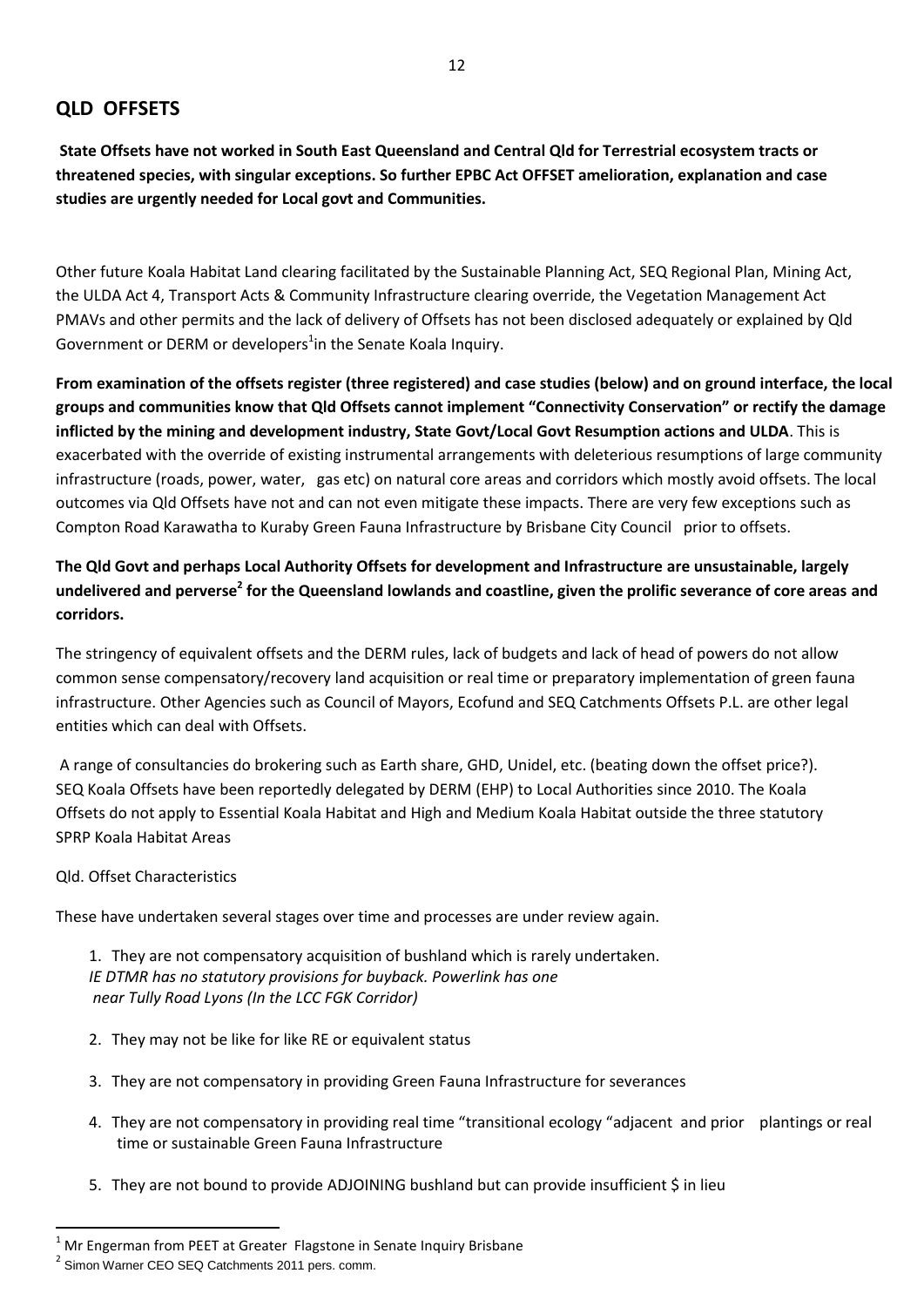# **QLD OFFSETS**

**State Offsets have not worked in South East Queensland and Central Qld for Terrestrial ecosystem tracts or threatened species, with singular exceptions. So further EPBC Act OFFSET amelioration, explanation and case studies are urgently needed for Local govt and Communities.** 

Other future Koala Habitat Land clearing facilitated by the Sustainable Planning Act, SEQ Regional Plan, Mining Act, the ULDA Act 4, Transport Acts & Community Infrastructure clearing override, the Vegetation Management Act PMAVs and other permits and the lack of delivery of Offsets has not been disclosed adequately or explained by Qld Government or DERM or developers<sup>1</sup>in the Senate Koala Inquiry.

**From examination of the offsets register (three registered) and case studies (below) and on ground interface, the local groups and communities know that Qld Offsets cannot implement "Connectivity Conservation" or rectify the damage inflicted by the mining and development industry, State Govt/Local Govt Resumption actions and ULDA**. This is exacerbated with the override of existing instrumental arrangements with deleterious resumptions of large community infrastructure (roads, power, water, gas etc) on natural core areas and corridors which mostly avoid offsets. The local outcomes via Qld Offsets have not and can not even mitigate these impacts. There are very few exceptions such as Compton Road Karawatha to Kuraby Green Fauna Infrastructure by Brisbane City Council prior to offsets.

**The Qld Govt and perhaps Local Authority Offsets for development and Infrastructure are unsustainable, largely undelivered and perverse<sup>2</sup> for the Queensland lowlands and coastline, given the prolific severance of core areas and corridors.** 

The stringency of equivalent offsets and the DERM rules, lack of budgets and lack of head of powers do not allow common sense compensatory/recovery land acquisition or real time or preparatory implementation of green fauna infrastructure. Other Agencies such as Council of Mayors, Ecofund and SEQ Catchments Offsets P.L. are other legal entities which can deal with Offsets.

A range of consultancies do brokering such as Earth share, GHD, Unidel, etc. (beating down the offset price?). SEQ Koala Offsets have been reportedly delegated by DERM (EHP) to Local Authorities since 2010. The Koala Offsets do not apply to Essential Koala Habitat and High and Medium Koala Habitat outside the three statutory SPRP Koala Habitat Areas

#### Qld. Offset Characteristics

 $\overline{a}$ 

These have undertaken several stages over time and processes are under review again.

1. They are not compensatory acquisition of bushland which is rarely undertaken. *IE DTMR has no statutory provisions for buyback. Powerlink has one near Tully Road Lyons (In the LCC FGK Corridor)*

- 2. They may not be like for like RE or equivalent status
- 3. They are not compensatory in providing Green Fauna Infrastructure for severances
- 4. They are not compensatory in providing real time "transitional ecology "adjacent and prior plantings or real time or sustainable Green Fauna Infrastructure
- 5. They are not bound to provide ADJOINING bushland but can provide insufficient \$ in lieu

 $1$  Mr Engerman from PEET at Greater Flagstone in Senate Inquiry Brisbane

 $2$  Simon Warner CEO SEQ Catchments 2011 pers. comm.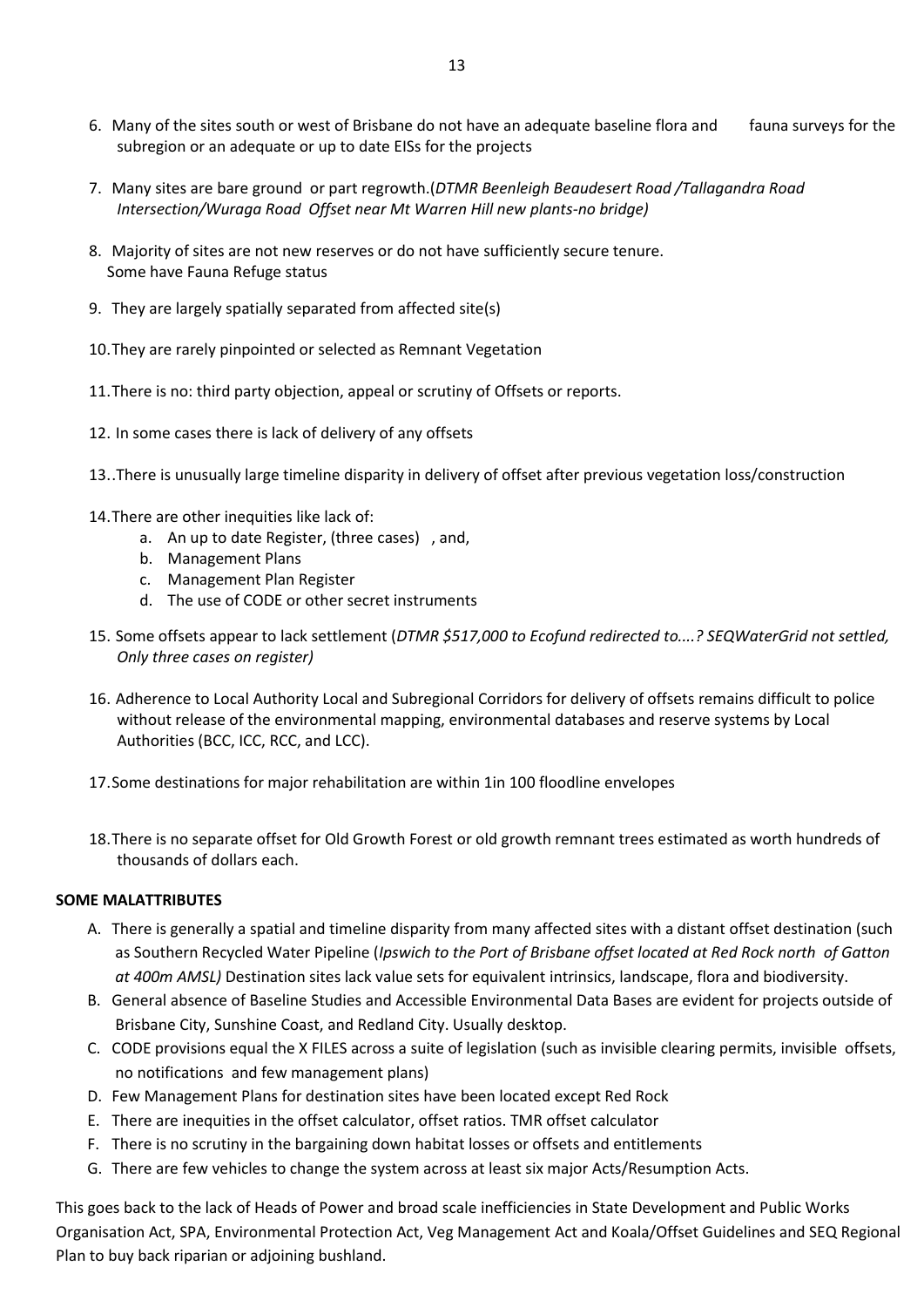- 6. Many of the sites south or west of Brisbane do not have an adequate baseline flora and fauna surveys for the subregion or an adequate or up to date EISs for the projects
- 7. Many sites are bare ground or part regrowth.(*DTMR Beenleigh Beaudesert Road /Tallagandra Road Intersection/Wuraga Road Offset near Mt Warren Hill new plants-no bridge)*
- 8. Majority of sites are not new reserves or do not have sufficiently secure tenure. Some have Fauna Refuge status
- 9. They are largely spatially separated from affected site(s)
- 10.They are rarely pinpointed or selected as Remnant Vegetation
- 11.There is no: third party objection, appeal or scrutiny of Offsets or reports.
- 12. In some cases there is lack of delivery of any offsets
- 13..There is unusually large timeline disparity in delivery of offset after previous vegetation loss/construction
- 14.There are other inequities like lack of:
	- a. An up to date Register, (three cases) , and,
	- b. Management Plans
	- c. Management Plan Register
	- d. The use of CODE or other secret instruments
- 15. Some offsets appear to lack settlement (*DTMR \$517,000 to Ecofund redirected to....? SEQWaterGrid not settled, Only three cases on register)*
- 16. Adherence to Local Authority Local and Subregional Corridors for delivery of offsets remains difficult to police without release of the environmental mapping, environmental databases and reserve systems by Local Authorities (BCC, ICC, RCC, and LCC).
- 17.Some destinations for major rehabilitation are within 1in 100 floodline envelopes
- 18.There is no separate offset for Old Growth Forest or old growth remnant trees estimated as worth hundreds of thousands of dollars each.

#### **SOME MALATTRIBUTES**

- A. There is generally a spatial and timeline disparity from many affected sites with a distant offset destination (such as Southern Recycled Water Pipeline (*Ipswich to the Port of Brisbane offset located at Red Rock north of Gatton at 400m AMSL)* Destination sites lack value sets for equivalent intrinsics, landscape, flora and biodiversity.
- B. General absence of Baseline Studies and Accessible Environmental Data Bases are evident for projects outside of Brisbane City, Sunshine Coast, and Redland City. Usually desktop.
- C. CODE provisions equal the X FILES across a suite of legislation (such as invisible clearing permits, invisible offsets, no notifications and few management plans)
- D. Few Management Plans for destination sites have been located except Red Rock
- E. There are inequities in the offset calculator, offset ratios. TMR offset calculator
- F. There is no scrutiny in the bargaining down habitat losses or offsets and entitlements
- G. There are few vehicles to change the system across at least six major Acts/Resumption Acts.

This goes back to the lack of Heads of Power and broad scale inefficiencies in State Development and Public Works Organisation Act, SPA, Environmental Protection Act, Veg Management Act and Koala/Offset Guidelines and SEQ Regional Plan to buy back riparian or adjoining bushland.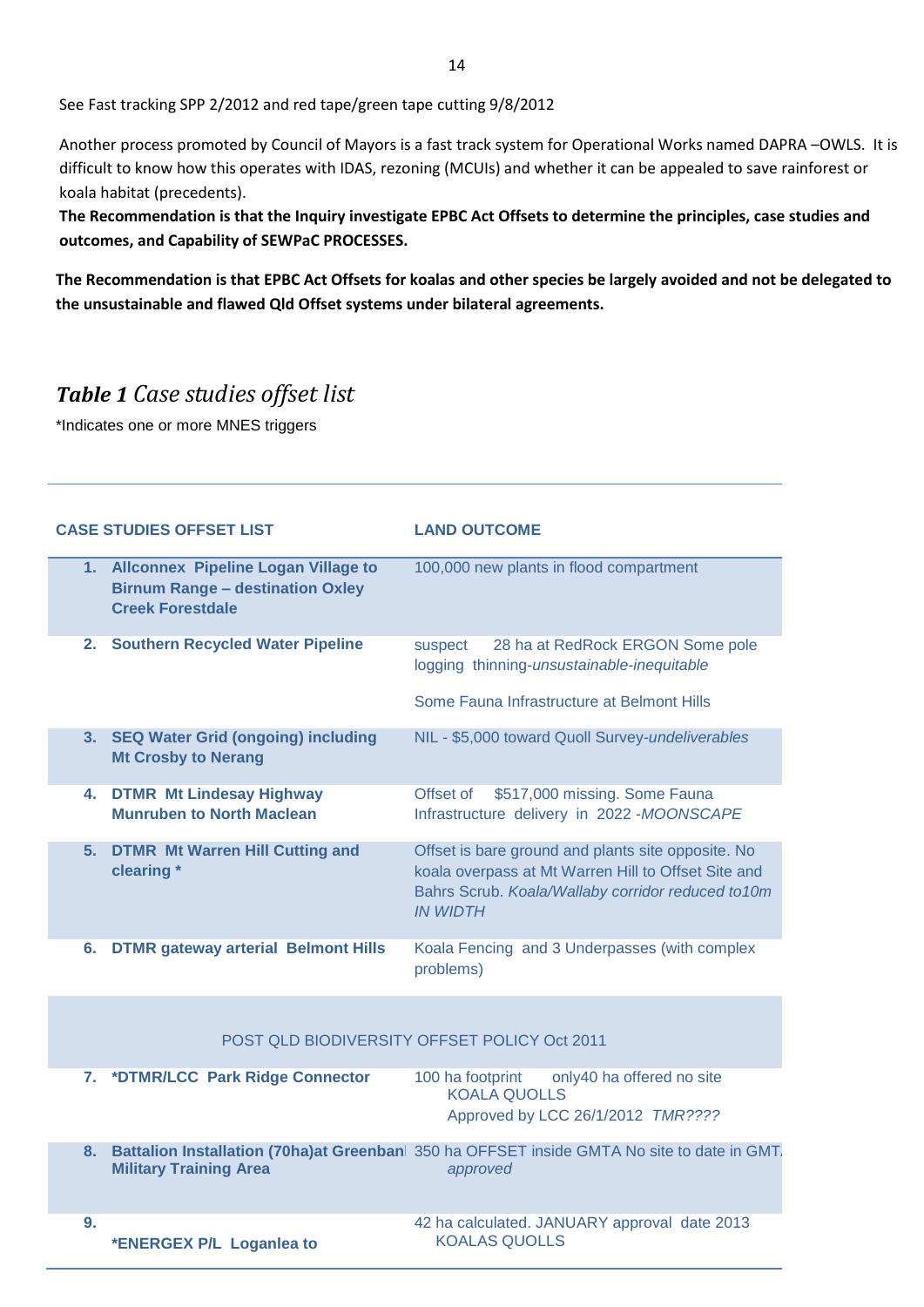See Fast tracking SPP 2/2012 and red tape/green tape cutting 9/8/2012

Another process promoted by Council of Mayors is a fast track system for Operational Works named DAPRA –OWLS. It is difficult to know how this operates with IDAS, rezoning (MCUIs) and whether it can be appealed to save rainforest or koala habitat (precedents).

**The Recommendation is that the Inquiry investigate EPBC Act Offsets to determine the principles, case studies and outcomes, and Capability of SEWPaC PROCESSES.** 

**The Recommendation is that EPBC Act Offsets for koalas and other species be largely avoided and not be delegated to the unsustainable and flawed Qld Offset systems under bilateral agreements.**

# *Table 1 Case studies offset list*

\*Indicates one or more MNES triggers

| 1. Allconnex Pipeline Logan Village to<br>100,000 new plants in flood compartment<br><b>Birnum Range - destination Oxley</b><br><b>Creek Forestdale</b><br>2. Southern Recycled Water Pipeline<br>28 ha at RedRock ERGON Some pole<br>suspect<br>logging thinning-unsustainable-inequitable<br>Some Fauna Infrastructure at Belmont Hills<br>3. SEQ Water Grid (ongoing) including<br>NIL - \$5,000 toward Quoll Survey-undeliverables<br><b>Mt Crosby to Nerang</b><br>\$517,000 missing. Some Fauna<br><b>DTMR Mt Lindesay Highway</b><br>Offset of<br>4.<br>Infrastructure delivery in 2022-MOONSCAPE<br><b>Munruben to North Maclean</b><br><b>DTMR Mt Warren Hill Cutting and</b><br>Offset is bare ground and plants site opposite. No<br>5.<br>clearing *<br>koala overpass at Mt Warren Hill to Offset Site and<br>Bahrs Scrub. Koala/Wallaby corridor reduced to10m<br><b>IN WIDTH</b><br>Koala Fencing and 3 Underpasses (with complex<br><b>DTMR gateway arterial Belmont Hills</b><br>6.<br>problems)<br>POST QLD BIODIVERSITY OFFSET POLICY Oct 2011<br>7. *DTMR/LCC Park Ridge Connector<br>only40 ha offered no site<br>100 ha footprint<br><b>KOALA QUOLLS</b><br>Approved by LCC 26/1/2012 TMR????<br>Battalion Installation (70ha)at Greenban  350 ha OFFSET inside GMTA No site to date in GMT.<br>8.<br><b>Military Training Area</b><br>approved<br>42 ha calculated. JANUARY approval date 2013<br>9.<br><b>KOALAS QUOLLS</b><br>*ENERGEX P/L Loganlea to | <b>CASE STUDIES OFFSET LIST</b> | <b>LAND OUTCOME</b> |
|---------------------------------------------------------------------------------------------------------------------------------------------------------------------------------------------------------------------------------------------------------------------------------------------------------------------------------------------------------------------------------------------------------------------------------------------------------------------------------------------------------------------------------------------------------------------------------------------------------------------------------------------------------------------------------------------------------------------------------------------------------------------------------------------------------------------------------------------------------------------------------------------------------------------------------------------------------------------------------------------------------------------------------------------------------------------------------------------------------------------------------------------------------------------------------------------------------------------------------------------------------------------------------------------------------------------------------------------------------------------------------------------------------------------------------------------------------------------------------|---------------------------------|---------------------|
|                                                                                                                                                                                                                                                                                                                                                                                                                                                                                                                                                                                                                                                                                                                                                                                                                                                                                                                                                                                                                                                                                                                                                                                                                                                                                                                                                                                                                                                                                 |                                 |                     |
|                                                                                                                                                                                                                                                                                                                                                                                                                                                                                                                                                                                                                                                                                                                                                                                                                                                                                                                                                                                                                                                                                                                                                                                                                                                                                                                                                                                                                                                                                 |                                 |                     |
|                                                                                                                                                                                                                                                                                                                                                                                                                                                                                                                                                                                                                                                                                                                                                                                                                                                                                                                                                                                                                                                                                                                                                                                                                                                                                                                                                                                                                                                                                 |                                 |                     |
|                                                                                                                                                                                                                                                                                                                                                                                                                                                                                                                                                                                                                                                                                                                                                                                                                                                                                                                                                                                                                                                                                                                                                                                                                                                                                                                                                                                                                                                                                 |                                 |                     |
|                                                                                                                                                                                                                                                                                                                                                                                                                                                                                                                                                                                                                                                                                                                                                                                                                                                                                                                                                                                                                                                                                                                                                                                                                                                                                                                                                                                                                                                                                 |                                 |                     |
|                                                                                                                                                                                                                                                                                                                                                                                                                                                                                                                                                                                                                                                                                                                                                                                                                                                                                                                                                                                                                                                                                                                                                                                                                                                                                                                                                                                                                                                                                 |                                 |                     |
|                                                                                                                                                                                                                                                                                                                                                                                                                                                                                                                                                                                                                                                                                                                                                                                                                                                                                                                                                                                                                                                                                                                                                                                                                                                                                                                                                                                                                                                                                 |                                 |                     |
|                                                                                                                                                                                                                                                                                                                                                                                                                                                                                                                                                                                                                                                                                                                                                                                                                                                                                                                                                                                                                                                                                                                                                                                                                                                                                                                                                                                                                                                                                 |                                 |                     |
|                                                                                                                                                                                                                                                                                                                                                                                                                                                                                                                                                                                                                                                                                                                                                                                                                                                                                                                                                                                                                                                                                                                                                                                                                                                                                                                                                                                                                                                                                 |                                 |                     |
|                                                                                                                                                                                                                                                                                                                                                                                                                                                                                                                                                                                                                                                                                                                                                                                                                                                                                                                                                                                                                                                                                                                                                                                                                                                                                                                                                                                                                                                                                 |                                 |                     |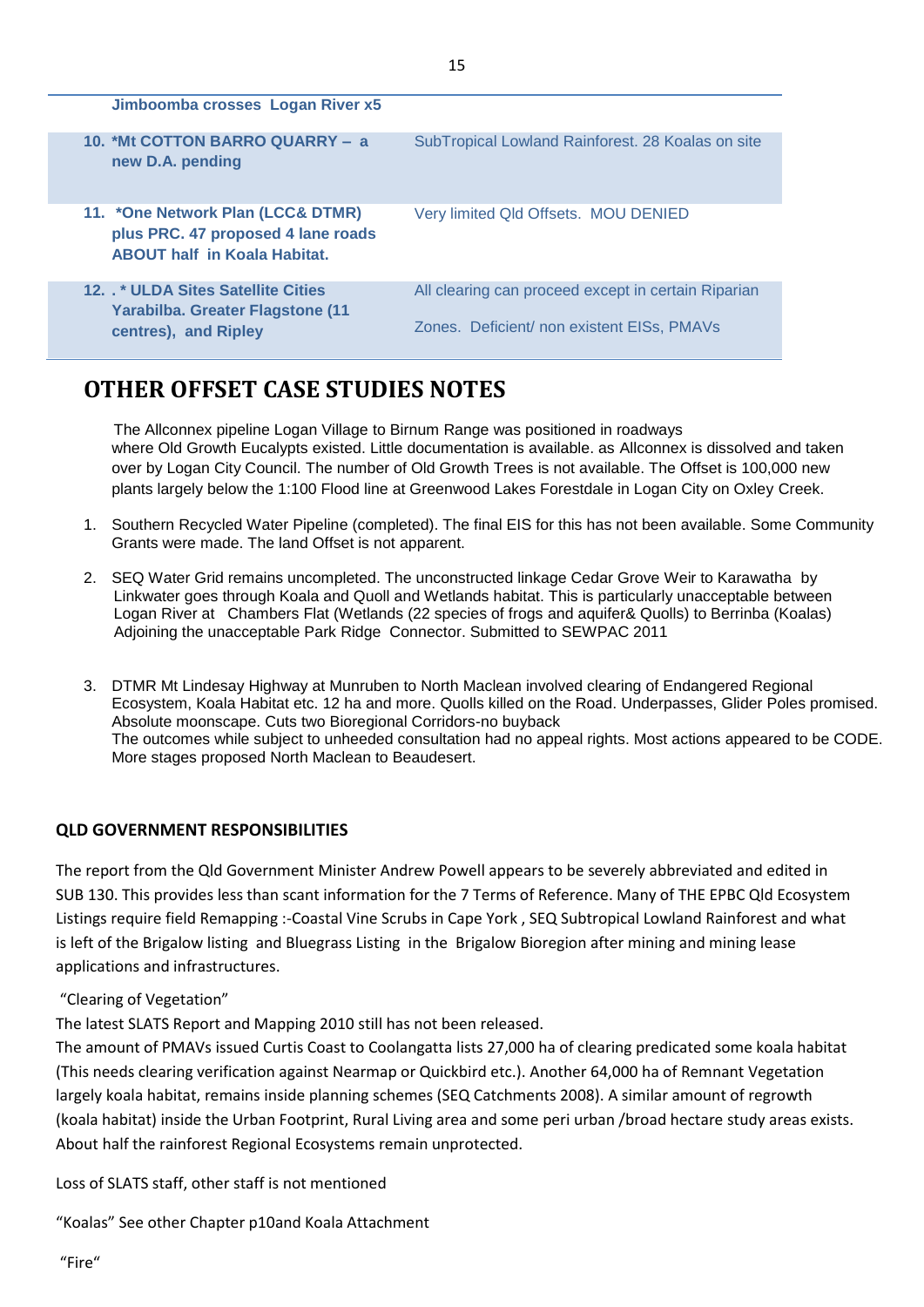| Jimboomba crosses Logan River x5                                                                               |                                                                                                   |
|----------------------------------------------------------------------------------------------------------------|---------------------------------------------------------------------------------------------------|
| 10. *Mt COTTON BARRO QUARRY - a<br>new D.A. pending                                                            | SubTropical Lowland Rainforest. 28 Koalas on site                                                 |
| 11. *One Network Plan (LCC& DTMR)<br>plus PRC. 47 proposed 4 lane roads<br><b>ABOUT half in Koala Habitat.</b> | Very limited Qld Offsets. MOU DENIED                                                              |
| 12. . * ULDA Sites Satellite Cities<br>Yarabilba. Greater Flagstone (11)<br>centres), and Ripley               | All clearing can proceed except in certain Riparian<br>Zones. Deficient/ non existent EISs, PMAVs |

# **OTHER OFFSET CASE STUDIES NOTES**

 The Allconnex pipeline Logan Village to Birnum Range was positioned in roadways where Old Growth Eucalypts existed. Little documentation is available. as Allconnex is dissolved and taken over by Logan City Council. The number of Old Growth Trees is not available. The Offset is 100,000 new plants largely below the 1:100 Flood line at Greenwood Lakes Forestdale in Logan City on Oxley Creek.

- 1. Southern Recycled Water Pipeline (completed). The final EIS for this has not been available. Some Community Grants were made. The land Offset is not apparent.
- 2. SEQ Water Grid remains uncompleted. The unconstructed linkage Cedar Grove Weir to Karawatha by Linkwater goes through Koala and Quoll and Wetlands habitat. This is particularly unacceptable between Logan River at Chambers Flat (Wetlands (22 species of frogs and aquifer& Quolls) to Berrinba (Koalas) Adjoining the unacceptable Park Ridge Connector. Submitted to SEWPAC 2011
- 3. DTMR Mt Lindesay Highway at Munruben to North Maclean involved clearing of Endangered Regional Ecosystem, Koala Habitat etc. 12 ha and more. Quolls killed on the Road. Underpasses, Glider Poles promised. Absolute moonscape. Cuts two Bioregional Corridors-no buyback The outcomes while subject to unheeded consultation had no appeal rights. Most actions appeared to be CODE. More stages proposed North Maclean to Beaudesert.

## **QLD GOVERNMENT RESPONSIBILITIES**

The report from the Qld Government Minister Andrew Powell appears to be severely abbreviated and edited in SUB 130. This provides less than scant information for the 7 Terms of Reference. Many of THE EPBC Qld Ecosystem Listings require field Remapping :-Coastal Vine Scrubs in Cape York , SEQ Subtropical Lowland Rainforest and what is left of the Brigalow listing and Bluegrass Listing in the Brigalow Bioregion after mining and mining lease applications and infrastructures.

"Clearing of Vegetation"

The latest SLATS Report and Mapping 2010 still has not been released.

The amount of PMAVs issued Curtis Coast to Coolangatta lists 27,000 ha of clearing predicated some koala habitat (This needs clearing verification against Nearmap or Quickbird etc.). Another 64,000 ha of Remnant Vegetation largely koala habitat, remains inside planning schemes (SEQ Catchments 2008). A similar amount of regrowth (koala habitat) inside the Urban Footprint, Rural Living area and some peri urban /broad hectare study areas exists. About half the rainforest Regional Ecosystems remain unprotected.

Loss of SLATS staff, other staff is not mentioned

"Koalas" See other Chapter p10and Koala Attachment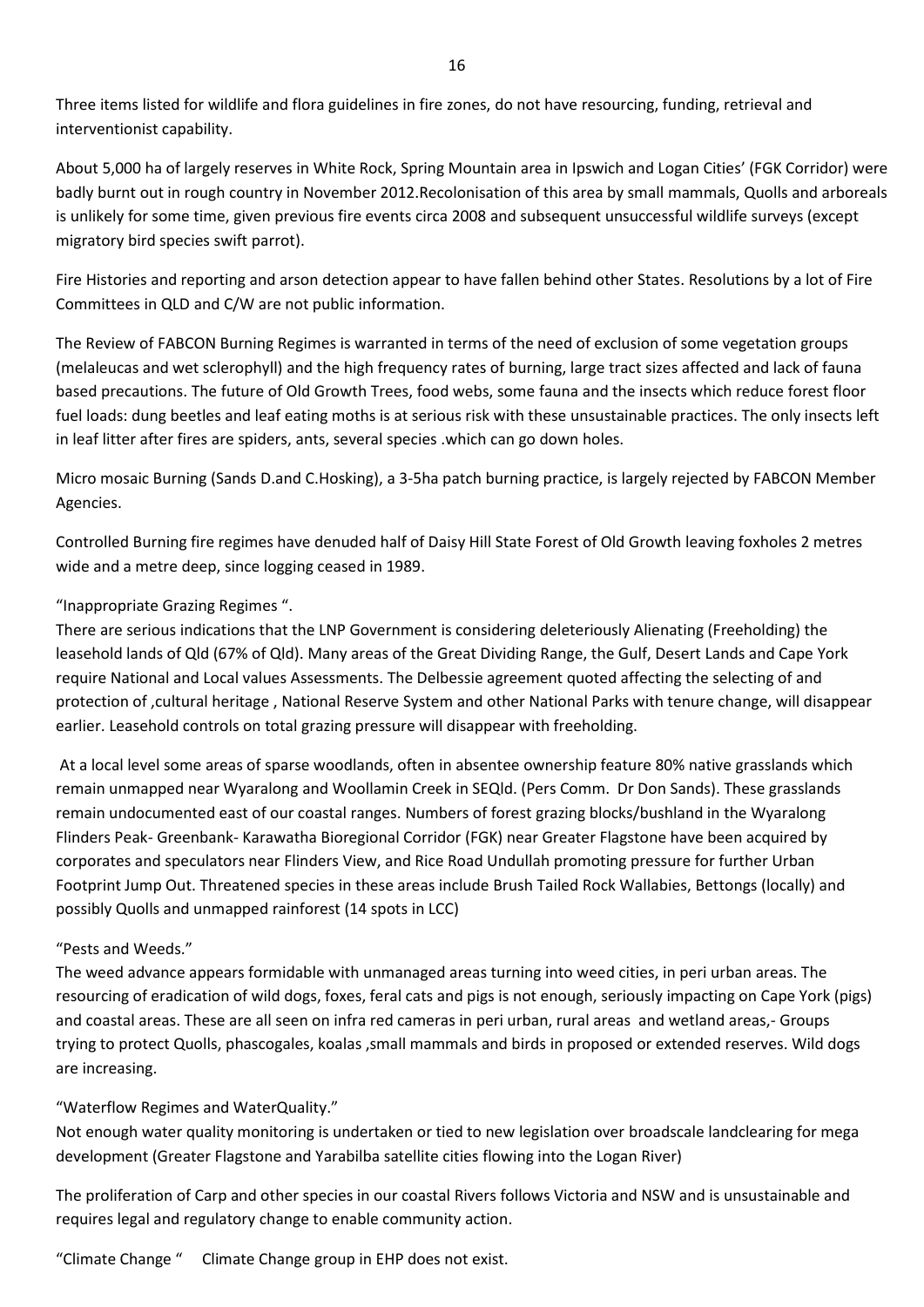Three items listed for wildlife and flora guidelines in fire zones, do not have resourcing, funding, retrieval and interventionist capability.

About 5,000 ha of largely reserves in White Rock, Spring Mountain area in Ipswich and Logan Cities' (FGK Corridor) were badly burnt out in rough country in November 2012.Recolonisation of this area by small mammals, Quolls and arboreals is unlikely for some time, given previous fire events circa 2008 and subsequent unsuccessful wildlife surveys (except migratory bird species swift parrot).

Fire Histories and reporting and arson detection appear to have fallen behind other States. Resolutions by a lot of Fire Committees in QLD and C/W are not public information.

The Review of FABCON Burning Regimes is warranted in terms of the need of exclusion of some vegetation groups (melaleucas and wet sclerophyll) and the high frequency rates of burning, large tract sizes affected and lack of fauna based precautions. The future of Old Growth Trees, food webs, some fauna and the insects which reduce forest floor fuel loads: dung beetles and leaf eating moths is at serious risk with these unsustainable practices. The only insects left in leaf litter after fires are spiders, ants, several species .which can go down holes.

Micro mosaic Burning (Sands D.and C.Hosking), a 3-5ha patch burning practice, is largely rejected by FABCON Member Agencies.

Controlled Burning fire regimes have denuded half of Daisy Hill State Forest of Old Growth leaving foxholes 2 metres wide and a metre deep, since logging ceased in 1989.

#### "Inappropriate Grazing Regimes ".

There are serious indications that the LNP Government is considering deleteriously Alienating (Freeholding) the leasehold lands of Qld (67% of Qld). Many areas of the Great Dividing Range, the Gulf, Desert Lands and Cape York require National and Local values Assessments. The Delbessie agreement quoted affecting the selecting of and protection of ,cultural heritage , National Reserve System and other National Parks with tenure change, will disappear earlier. Leasehold controls on total grazing pressure will disappear with freeholding.

At a local level some areas of sparse woodlands, often in absentee ownership feature 80% native grasslands which remain unmapped near Wyaralong and Woollamin Creek in SEQld. (Pers Comm. Dr Don Sands). These grasslands remain undocumented east of our coastal ranges. Numbers of forest grazing blocks/bushland in the Wyaralong Flinders Peak- Greenbank- Karawatha Bioregional Corridor (FGK) near Greater Flagstone have been acquired by corporates and speculators near Flinders View, and Rice Road Undullah promoting pressure for further Urban Footprint Jump Out. Threatened species in these areas include Brush Tailed Rock Wallabies, Bettongs (locally) and possibly Quolls and unmapped rainforest (14 spots in LCC)

#### "Pests and Weeds."

The weed advance appears formidable with unmanaged areas turning into weed cities, in peri urban areas. The resourcing of eradication of wild dogs, foxes, feral cats and pigs is not enough, seriously impacting on Cape York (pigs) and coastal areas. These are all seen on infra red cameras in peri urban, rural areas and wetland areas,- Groups trying to protect Quolls, phascogales, koalas ,small mammals and birds in proposed or extended reserves. Wild dogs are increasing.

#### "Waterflow Regimes and WaterQuality."

Not enough water quality monitoring is undertaken or tied to new legislation over broadscale landclearing for mega development (Greater Flagstone and Yarabilba satellite cities flowing into the Logan River)

The proliferation of Carp and other species in our coastal Rivers follows Victoria and NSW and is unsustainable and requires legal and regulatory change to enable community action.

"Climate Change " Climate Change group in EHP does not exist.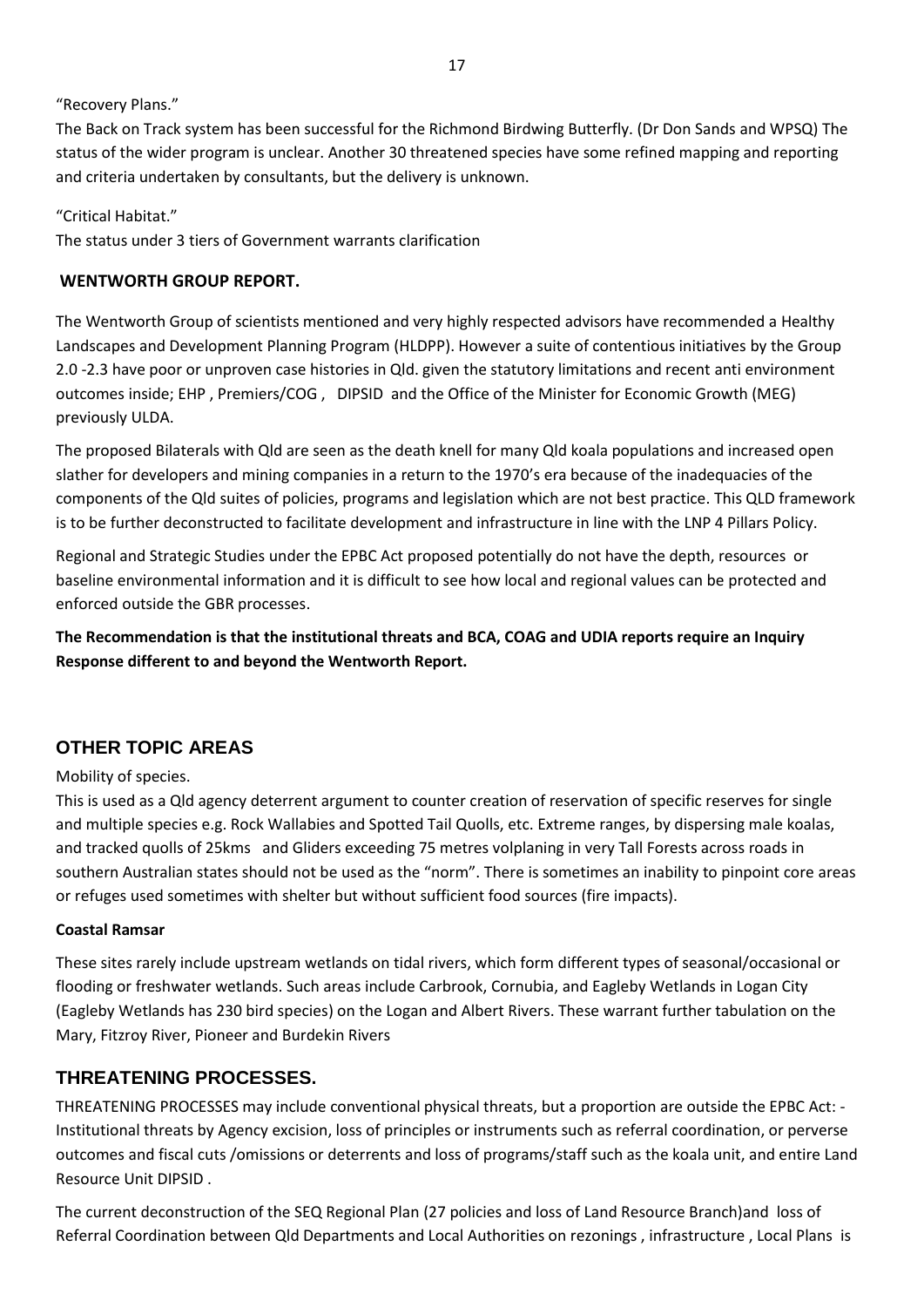"Recovery Plans."

The Back on Track system has been successful for the Richmond Birdwing Butterfly. (Dr Don Sands and WPSQ) The status of the wider program is unclear. Another 30 threatened species have some refined mapping and reporting and criteria undertaken by consultants, but the delivery is unknown.

"Critical Habitat."

The status under 3 tiers of Government warrants clarification

#### **WENTWORTH GROUP REPORT.**

The Wentworth Group of scientists mentioned and very highly respected advisors have recommended a Healthy Landscapes and Development Planning Program (HLDPP). However a suite of contentious initiatives by the Group 2.0 -2.3 have poor or unproven case histories in Qld. given the statutory limitations and recent anti environment outcomes inside; EHP , Premiers/COG , DIPSID and the Office of the Minister for Economic Growth (MEG) previously ULDA.

The proposed Bilaterals with Qld are seen as the death knell for many Qld koala populations and increased open slather for developers and mining companies in a return to the 1970's era because of the inadequacies of the components of the Qld suites of policies, programs and legislation which are not best practice. This QLD framework is to be further deconstructed to facilitate development and infrastructure in line with the LNP 4 Pillars Policy.

Regional and Strategic Studies under the EPBC Act proposed potentially do not have the depth, resources or baseline environmental information and it is difficult to see how local and regional values can be protected and enforced outside the GBR processes.

**The Recommendation is that the institutional threats and BCA, COAG and UDIA reports require an Inquiry Response different to and beyond the Wentworth Report.** 

# **OTHER TOPIC AREAS**

#### Mobility of species.

This is used as a Qld agency deterrent argument to counter creation of reservation of specific reserves for single and multiple species e.g. Rock Wallabies and Spotted Tail Quolls, etc. Extreme ranges, by dispersing male koalas, and tracked quolls of 25kms and Gliders exceeding 75 metres volplaning in very Tall Forests across roads in southern Australian states should not be used as the "norm". There is sometimes an inability to pinpoint core areas or refuges used sometimes with shelter but without sufficient food sources (fire impacts).

#### **Coastal Ramsar**

These sites rarely include upstream wetlands on tidal rivers, which form different types of seasonal/occasional or flooding or freshwater wetlands. Such areas include Carbrook, Cornubia, and Eagleby Wetlands in Logan City (Eagleby Wetlands has 230 bird species) on the Logan and Albert Rivers. These warrant further tabulation on the Mary, Fitzroy River, Pioneer and Burdekin Rivers

# **THREATENING PROCESSES.**

THREATENING PROCESSES may include conventional physical threats, but a proportion are outside the EPBC Act: - Institutional threats by Agency excision, loss of principles or instruments such as referral coordination, or perverse outcomes and fiscal cuts /omissions or deterrents and loss of programs/staff such as the koala unit, and entire Land Resource Unit DIPSID .

The current deconstruction of the SEQ Regional Plan (27 policies and loss of Land Resource Branch)and loss of Referral Coordination between Qld Departments and Local Authorities on rezonings , infrastructure , Local Plans is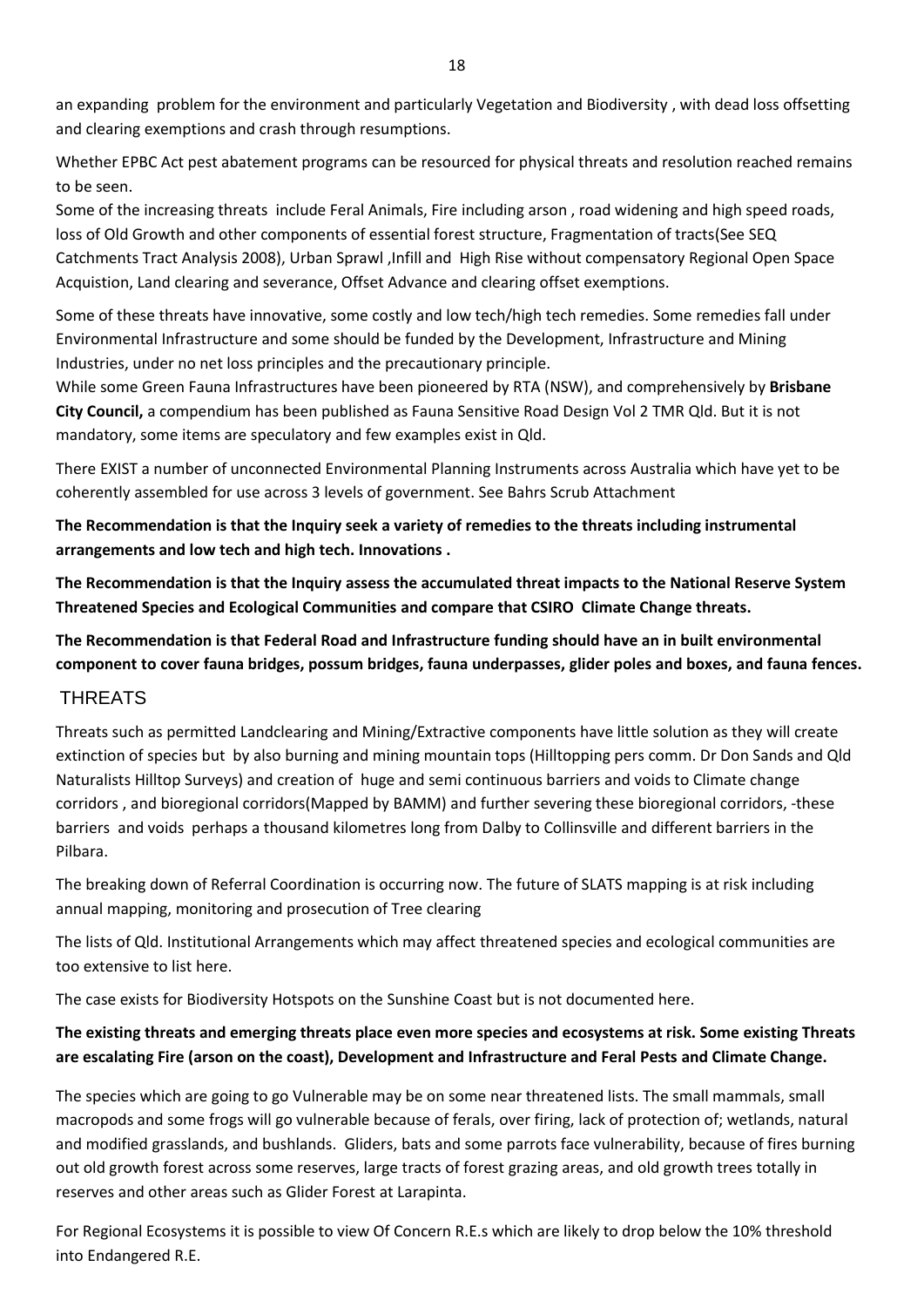an expanding problem for the environment and particularly Vegetation and Biodiversity , with dead loss offsetting and clearing exemptions and crash through resumptions.

Whether EPBC Act pest abatement programs can be resourced for physical threats and resolution reached remains to be seen.

Some of the increasing threats include Feral Animals, Fire including arson , road widening and high speed roads, loss of Old Growth and other components of essential forest structure, Fragmentation of tracts(See SEQ Catchments Tract Analysis 2008), Urban Sprawl ,Infill and High Rise without compensatory Regional Open Space Acquistion, Land clearing and severance, Offset Advance and clearing offset exemptions.

Some of these threats have innovative, some costly and low tech/high tech remedies. Some remedies fall under Environmental Infrastructure and some should be funded by the Development, Infrastructure and Mining Industries, under no net loss principles and the precautionary principle.

While some Green Fauna Infrastructures have been pioneered by RTA (NSW), and comprehensively by **Brisbane City Council,** a compendium has been published as Fauna Sensitive Road Design Vol 2 TMR Qld. But it is not mandatory, some items are speculatory and few examples exist in Qld.

There EXIST a number of unconnected Environmental Planning Instruments across Australia which have yet to be coherently assembled for use across 3 levels of government. See Bahrs Scrub Attachment

**The Recommendation is that the Inquiry seek a variety of remedies to the threats including instrumental arrangements and low tech and high tech. Innovations .**

**The Recommendation is that the Inquiry assess the accumulated threat impacts to the National Reserve System Threatened Species and Ecological Communities and compare that CSIRO Climate Change threats.**

**The Recommendation is that Federal Road and Infrastructure funding should have an in built environmental component to cover fauna bridges, possum bridges, fauna underpasses, glider poles and boxes, and fauna fences.**

## **THREATS**

Threats such as permitted Landclearing and Mining/Extractive components have little solution as they will create extinction of species but by also burning and mining mountain tops (Hilltopping pers comm. Dr Don Sands and Qld Naturalists Hilltop Surveys) and creation of huge and semi continuous barriers and voids to Climate change corridors , and bioregional corridors(Mapped by BAMM) and further severing these bioregional corridors, -these barriers and voids perhaps a thousand kilometres long from Dalby to Collinsville and different barriers in the Pilbara.

The breaking down of Referral Coordination is occurring now. The future of SLATS mapping is at risk including annual mapping, monitoring and prosecution of Tree clearing

The lists of Qld. Institutional Arrangements which may affect threatened species and ecological communities are too extensive to list here.

The case exists for Biodiversity Hotspots on the Sunshine Coast but is not documented here.

## **The existing threats and emerging threats place even more species and ecosystems at risk. Some existing Threats are escalating Fire (arson on the coast), Development and Infrastructure and Feral Pests and Climate Change.**

The species which are going to go Vulnerable may be on some near threatened lists. The small mammals, small macropods and some frogs will go vulnerable because of ferals, over firing, lack of protection of; wetlands, natural and modified grasslands, and bushlands. Gliders, bats and some parrots face vulnerability, because of fires burning out old growth forest across some reserves, large tracts of forest grazing areas, and old growth trees totally in reserves and other areas such as Glider Forest at Larapinta.

For Regional Ecosystems it is possible to view Of Concern R.E.s which are likely to drop below the 10% threshold into Endangered R.E.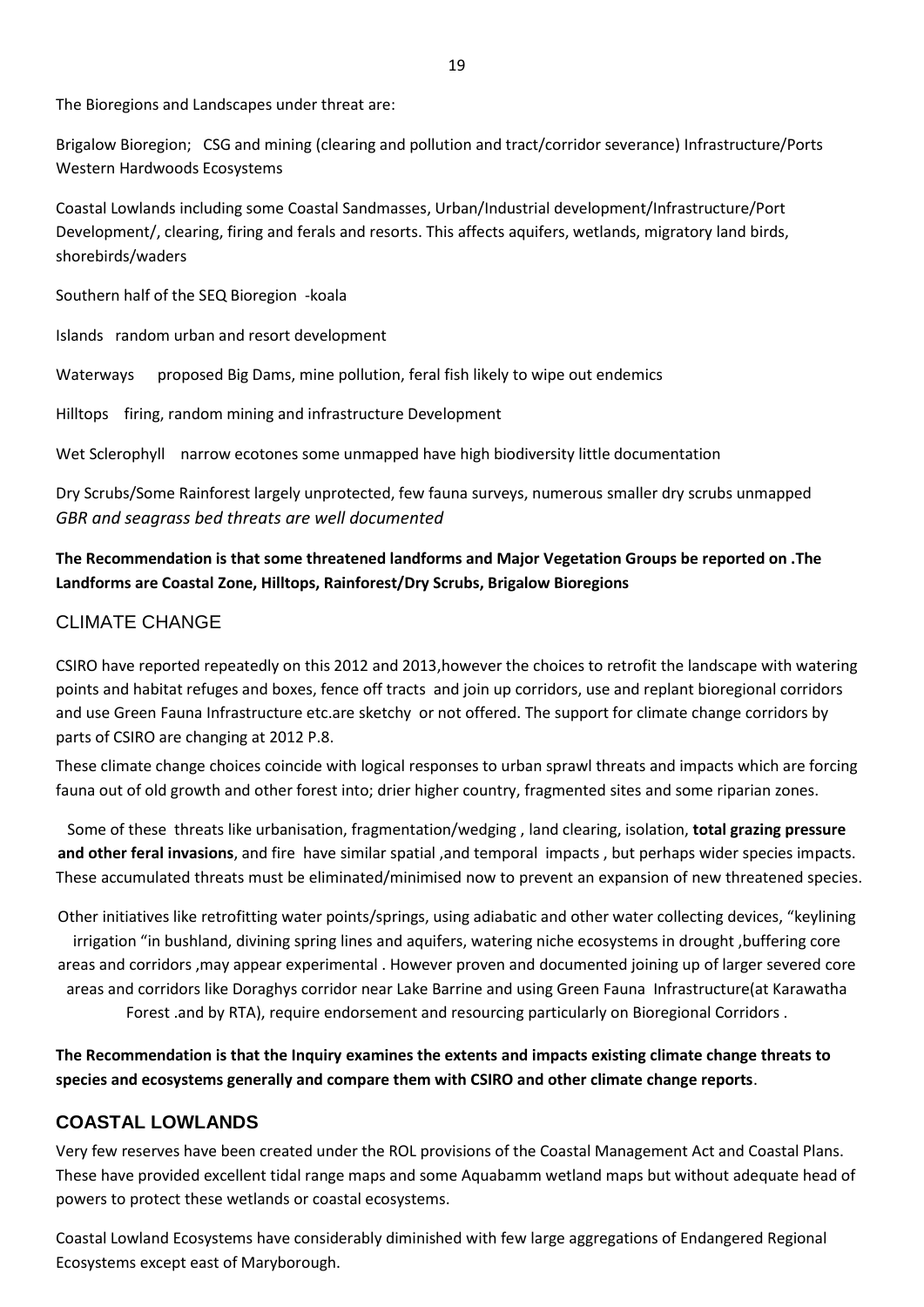The Bioregions and Landscapes under threat are:

Brigalow Bioregion; CSG and mining (clearing and pollution and tract/corridor severance) Infrastructure/Ports Western Hardwoods Ecosystems

Coastal Lowlands including some Coastal Sandmasses, Urban/Industrial development/Infrastructure/Port Development/, clearing, firing and ferals and resorts. This affects aquifers, wetlands, migratory land birds, shorebirds/waders

Southern half of the SEQ Bioregion -koala

Islands random urban and resort development

Waterways proposed Big Dams, mine pollution, feral fish likely to wipe out endemics

Hilltops firing, random mining and infrastructure Development

Wet Sclerophyll narrow ecotones some unmapped have high biodiversity little documentation

Dry Scrubs/Some Rainforest largely unprotected, few fauna surveys, numerous smaller dry scrubs unmapped *GBR and seagrass bed threats are well documented*

## **The Recommendation is that some threatened landforms and Major Vegetation Groups be reported on .The Landforms are Coastal Zone, Hilltops, Rainforest/Dry Scrubs, Brigalow Bioregions**

## CLIMATE CHANGE

CSIRO have reported repeatedly on this 2012 and 2013,however the choices to retrofit the landscape with watering points and habitat refuges and boxes, fence off tracts and join up corridors, use and replant bioregional corridors and use Green Fauna Infrastructure etc.are sketchy or not offered. The support for climate change corridors by parts of CSIRO are changing at 2012 P.8.

These climate change choices coincide with logical responses to urban sprawl threats and impacts which are forcing fauna out of old growth and other forest into; drier higher country, fragmented sites and some riparian zones.

Some of these threats like urbanisation, fragmentation/wedging , land clearing, isolation, **total grazing pressure and other feral invasions**, and fire have similar spatial ,and temporal impacts , but perhaps wider species impacts. These accumulated threats must be eliminated/minimised now to prevent an expansion of new threatened species.

Other initiatives like retrofitting water points/springs, using adiabatic and other water collecting devices, "keylining irrigation "in bushland, divining spring lines and aquifers, watering niche ecosystems in drought ,buffering core areas and corridors ,may appear experimental . However proven and documented joining up of larger severed core areas and corridors like Doraghys corridor near Lake Barrine and using Green Fauna Infrastructure(at Karawatha Forest .and by RTA), require endorsement and resourcing particularly on Bioregional Corridors .

**The Recommendation is that the Inquiry examines the extents and impacts existing climate change threats to species and ecosystems generally and compare them with CSIRO and other climate change reports**.

## **COASTAL LOWLANDS**

Very few reserves have been created under the ROL provisions of the Coastal Management Act and Coastal Plans. These have provided excellent tidal range maps and some Aquabamm wetland maps but without adequate head of powers to protect these wetlands or coastal ecosystems.

Coastal Lowland Ecosystems have considerably diminished with few large aggregations of Endangered Regional Ecosystems except east of Maryborough.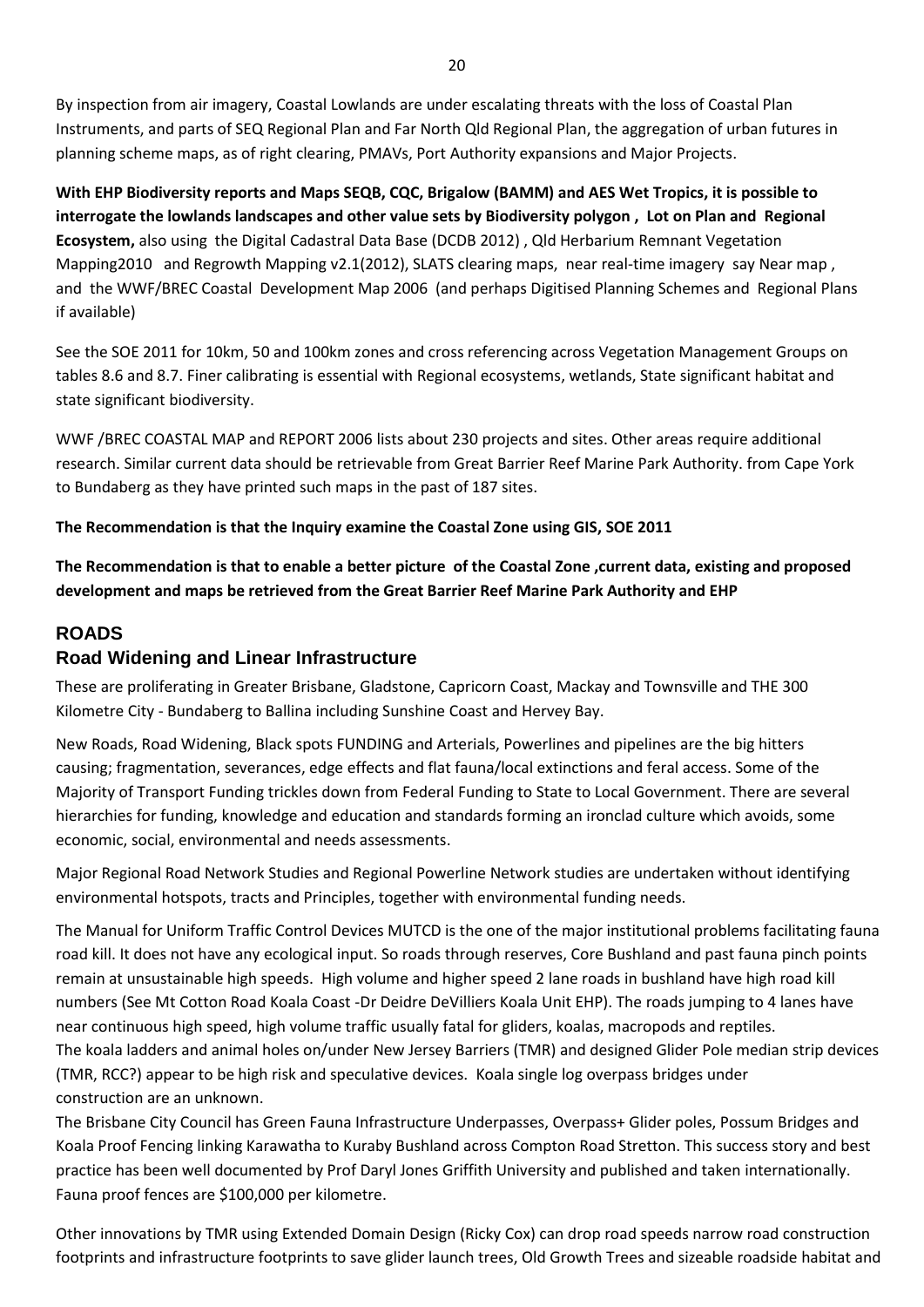By inspection from air imagery, Coastal Lowlands are under escalating threats with the loss of Coastal Plan Instruments, and parts of SEQ Regional Plan and Far North Qld Regional Plan, the aggregation of urban futures in planning scheme maps, as of right clearing, PMAVs, Port Authority expansions and Major Projects.

**With EHP Biodiversity reports and Maps SEQB, CQC, Brigalow (BAMM) and AES Wet Tropics, it is possible to interrogate the lowlands landscapes and other value sets by Biodiversity polygon , Lot on Plan and Regional Ecosystem,** also using the Digital Cadastral Data Base (DCDB 2012) , Qld Herbarium Remnant Vegetation Mapping2010 and Regrowth Mapping v2.1(2012), SLATS clearing maps, near real-time imagery say Near map, and the WWF/BREC Coastal Development Map 2006 (and perhaps Digitised Planning Schemes and Regional Plans if available)

See the SOE 2011 for 10km, 50 and 100km zones and cross referencing across Vegetation Management Groups on tables 8.6 and 8.7. Finer calibrating is essential with Regional ecosystems, wetlands, State significant habitat and state significant biodiversity.

WWF /BREC COASTAL MAP and REPORT 2006 lists about 230 projects and sites. Other areas require additional research. Similar current data should be retrievable from Great Barrier Reef Marine Park Authority. from Cape York to Bundaberg as they have printed such maps in the past of 187 sites.

#### **The Recommendation is that the Inquiry examine the Coastal Zone using GIS, SOE 2011**

**The Recommendation is that to enable a better picture of the Coastal Zone ,current data, existing and proposed development and maps be retrieved from the Great Barrier Reef Marine Park Authority and EHP**

#### **ROADS**

### **Road Widening and Linear Infrastructure**

These are proliferating in Greater Brisbane, Gladstone, Capricorn Coast, Mackay and Townsville and THE 300 Kilometre City - Bundaberg to Ballina including Sunshine Coast and Hervey Bay.

New Roads, Road Widening, Black spots FUNDING and Arterials, Powerlines and pipelines are the big hitters causing; fragmentation, severances, edge effects and flat fauna/local extinctions and feral access. Some of the Majority of Transport Funding trickles down from Federal Funding to State to Local Government. There are several hierarchies for funding, knowledge and education and standards forming an ironclad culture which avoids, some economic, social, environmental and needs assessments.

Major Regional Road Network Studies and Regional Powerline Network studies are undertaken without identifying environmental hotspots, tracts and Principles, together with environmental funding needs.

The Manual for Uniform Traffic Control Devices MUTCD is the one of the major institutional problems facilitating fauna road kill. It does not have any ecological input. So roads through reserves, Core Bushland and past fauna pinch points remain at unsustainable high speeds. High volume and higher speed 2 lane roads in bushland have high road kill numbers (See Mt Cotton Road Koala Coast -Dr Deidre DeVilliers Koala Unit EHP). The roads jumping to 4 lanes have near continuous high speed, high volume traffic usually fatal for gliders, koalas, macropods and reptiles. The koala ladders and animal holes on/under New Jersey Barriers (TMR) and designed Glider Pole median strip devices (TMR, RCC?) appear to be high risk and speculative devices. Koala single log overpass bridges under construction are an unknown.

The Brisbane City Council has Green Fauna Infrastructure Underpasses, Overpass+ Glider poles, Possum Bridges and Koala Proof Fencing linking Karawatha to Kuraby Bushland across Compton Road Stretton. This success story and best practice has been well documented by Prof Daryl Jones Griffith University and published and taken internationally. Fauna proof fences are \$100,000 per kilometre.

Other innovations by TMR using Extended Domain Design (Ricky Cox) can drop road speeds narrow road construction footprints and infrastructure footprints to save glider launch trees, Old Growth Trees and sizeable roadside habitat and